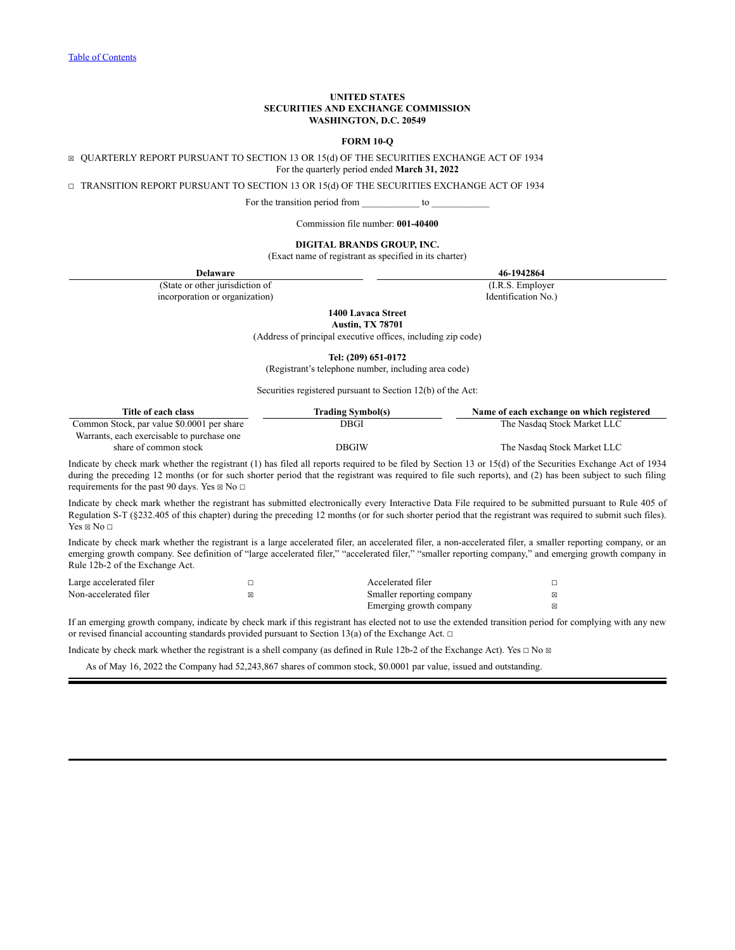### **UNITED STATES SECURITIES AND EXCHANGE COMMISSION WASHINGTON, D.C. 20549**

#### **FORM 10-Q**

☒ QUARTERLY REPORT PURSUANT TO SECTION 13 OR 15(d) OF THE SECURITIES EXCHANGE ACT OF 1934 For the quarterly period ended **March 31, 2022**

☐ TRANSITION REPORT PURSUANT TO SECTION 13 OR 15(d) OF THE SECURITIES EXCHANGE ACT OF 1934

For the transition period from to  $\sim$ 

Commission file number: **001-40400**

# **DIGITAL BRANDS GROUP, INC.**

(Exact name of registrant as specified in its charter)

**Delaware 46-1942864**

(State or other jurisdiction of (I.R.S. Employer incorporation or organization) Identification No.)

**1400 Lavaca Street Austin, TX 78701**

(Address of principal executive offices, including zip code)

**Tel: (209) 651-0172**

(Registrant's telephone number, including area code)

Securities registered pursuant to Section 12(b) of the Act:

| Title of each class                        | <b>Trading Symbol(s)</b> | Name of each exchange on which registered |
|--------------------------------------------|--------------------------|-------------------------------------------|
| Common Stock, par value \$0.0001 per share | DBGI                     | The Nasdag Stock Market LLC               |
| Warrants, each exercisable to purchase one |                          |                                           |
| share of common stock                      | DBGIW                    | The Nasdag Stock Market LLC               |

Indicate by check mark whether the registrant (1) has filed all reports required to be filed by Section 13 or 15(d) of the Securities Exchange Act of 1934 during the preceding 12 months (or for such shorter period that the registrant was required to file such reports), and (2) has been subject to such filing requirements for the past 90 days. Yes  $\boxtimes$  No  $\Box$ 

Indicate by check mark whether the registrant has submitted electronically every Interactive Data File required to be submitted pursuant to Rule 405 of Regulation S-T (§232.405 of this chapter) during the preceding 12 months (or for such shorter period that the registrant was required to submit such files). Yes  $\boxtimes$  No  $\Box$ 

Indicate by check mark whether the registrant is a large accelerated filer, an accelerated filer, a non-accelerated filer, a smaller reporting company, or an emerging growth company. See definition of "large accelerated filer," "accelerated filer," "smaller reporting company," and emerging growth company in Rule 12b-2 of the Exchange Act.

| Large accelerated filer | Accelerated filer         |   |
|-------------------------|---------------------------|---|
| Non-accelerated filer   | Smaller reporting company | 冈 |
|                         | Emerging growth company   | 冈 |

If an emerging growth company, indicate by check mark if this registrant has elected not to use the extended transition period for complying with any new or revised financial accounting standards provided pursuant to Section 13(a) of the Exchange Act. □

Indicate by check mark whether the registrant is a shell company (as defined in Rule 12b-2 of the Exchange Act). Yes  $\Box$  No  $\Box$ 

As of May 16, 2022 the Company had 52,243,867 shares of common stock, \$0.0001 par value, issued and outstanding.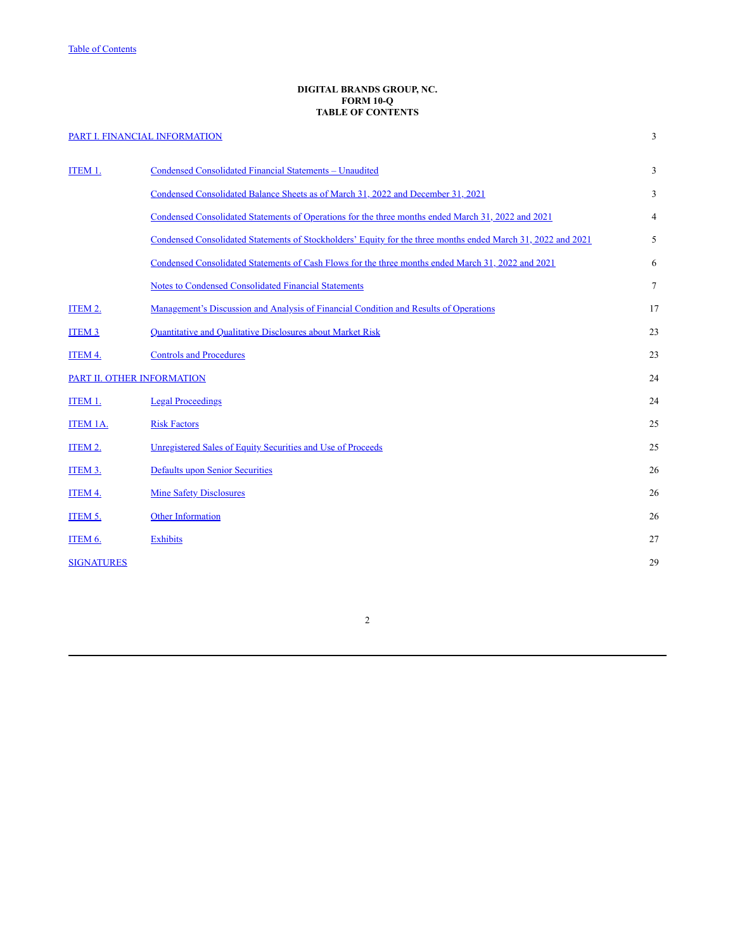## **DIGITAL BRANDS GROUP, NC. FORM 10-Q TABLE OF CONTENTS**

<span id="page-1-0"></span>

| PART I. FINANCIAL INFORMATION |                                                                                                              | 3  |
|-------------------------------|--------------------------------------------------------------------------------------------------------------|----|
| ITEM 1.                       | <b>Condensed Consolidated Financial Statements - Unaudited</b>                                               | 3  |
|                               | Condensed Consolidated Balance Sheets as of March 31, 2022 and December 31, 2021                             | 3  |
|                               | Condensed Consolidated Statements of Operations for the three months ended March 31, 2022 and 2021           | 4  |
|                               | Condensed Consolidated Statements of Stockholders' Equity for the three months ended March 31, 2022 and 2021 | 5  |
|                               | Condensed Consolidated Statements of Cash Flows for the three months ended March 31, 2022 and 2021           | 6  |
|                               | <b>Notes to Condensed Consolidated Financial Statements</b>                                                  | 7  |
| ITEM 2.                       | <u>Management's Discussion and Analysis of Financial Condition and Results of Operations</u>                 | 17 |
| <b>ITEM 3</b>                 | Quantitative and Qualitative Disclosures about Market Risk                                                   | 23 |
| ITEM 4.                       | <b>Controls and Procedures</b>                                                                               | 23 |
| PART II. OTHER INFORMATION    |                                                                                                              | 24 |
| ITEM 1.                       | <b>Legal Proceedings</b>                                                                                     | 24 |
| ITEM 1A.                      | <b>Risk Factors</b>                                                                                          | 25 |
| ITEM 2.                       | Unregistered Sales of Equity Securities and Use of Proceeds                                                  | 25 |
| <b>ITEM 3.</b>                | <b>Defaults upon Senior Securities</b>                                                                       | 26 |
| ITEM 4.                       | <b>Mine Safety Disclosures</b>                                                                               | 26 |
| ITEM 5.                       | Other Information                                                                                            | 26 |
| ITEM 6.                       | <b>Exhibits</b>                                                                                              | 27 |
| <b>SIGNATURES</b>             |                                                                                                              | 29 |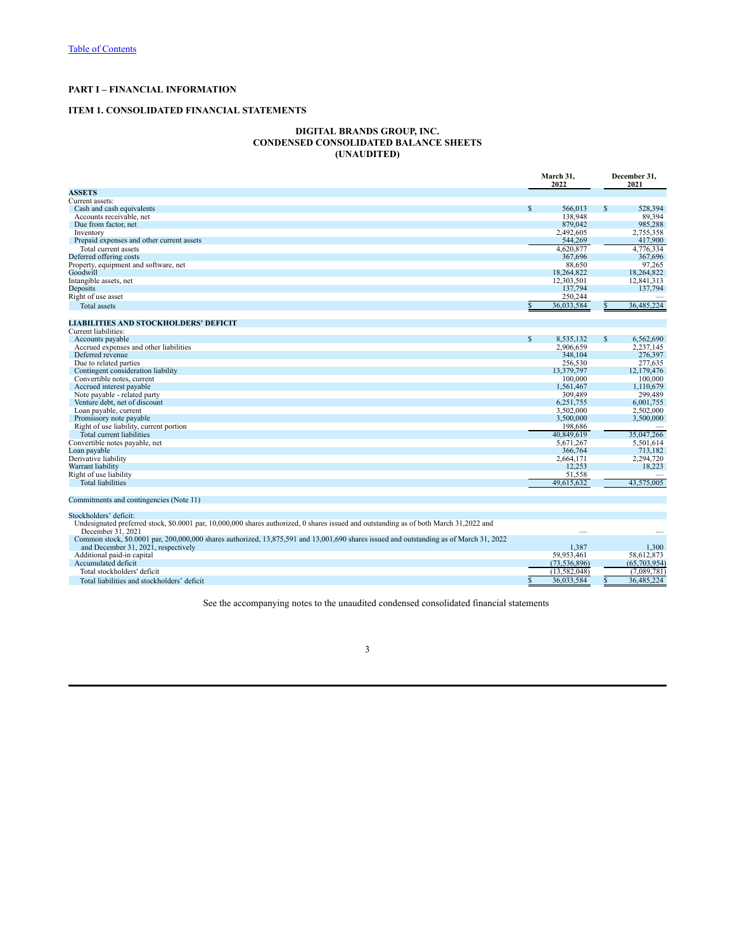# <span id="page-2-0"></span>**PART I – FINANCIAL INFORMATION**

# <span id="page-2-2"></span><span id="page-2-1"></span>**ITEM 1. CONSOLIDATED FINANCIAL STATEMENTS**

# **DIGITAL BRANDS GROUP, INC. CONDENSED CONSOLIDATED BALANCE SHEETS (UNAUDITED)**

| Current assets:<br>$\mathbf S$<br>Cash and cash equivalents<br>$\mathbb{S}$<br>528.394<br>566.013<br>Accounts receivable, net<br>138,948<br>89.394<br>985,288<br>Due from factor, net<br>879,042<br>2,492,605<br>2.755.358<br>Inventory<br>417.900<br>Prepaid expenses and other current assets<br>544,269<br>4.776.334<br>4,620,877<br>Total current assets<br>Deferred offering costs<br>367.696<br>367.696<br>Property, equipment and software, net<br>88,650<br>97.265<br>Goodwill<br>18.264.822<br>18,264,822<br>12,303,501<br>12,841,313<br>137.794<br>137.794<br>250,244<br>\$<br>36,033,584<br>36,485,224<br>S<br>Total assets<br><b>LIABILITIES AND STOCKHOLDERS' DEFICIT</b><br>Current liabilities:<br>$\mathbf S$<br>$\mathbb{S}$<br>6,562,690<br>Accounts payable<br>8.535.132<br>Accrued expenses and other liabilities<br>2,906,659<br>2,237,145<br>276,397<br>Deferred revenue<br>348,104<br>Due to related parties<br>256.530<br>277.635<br>13,379,797<br>Contingent consideration liability<br>12.179.476<br>Convertible notes, current<br>100,000<br>100,000<br>Accrued interest payable<br>1,561,467<br>1,110,679<br>Note payable - related party<br>309.489<br>299.489<br>Venture debt, net of discount<br>6.251.755<br>6.001.755<br>Loan payable, current<br>3,502,000<br>2,502,000<br>Promissory note payable<br>3,500,000<br>3,500,000<br>Right of use liability, current portion<br>198,686<br>40.849.619<br>Total current liabilities<br>35,047,266<br>Convertible notes payable, net<br>5,501,614<br>5,671,267<br>713.182<br>Loan payable<br>366.764<br>2,294,720<br>Derivative liability<br>2,664,171<br>18,223<br>Warrant liability<br>12,253<br>Right of use liability<br>51,558<br><b>Total liabilities</b><br>49,615,632<br>43,575,005<br>Stockholders' deficit:<br>Undesignated preferred stock, \$0.0001 par, 10,000,000 shares authorized, 0 shares issued and outstanding as of both March 31,2022 and<br>December 31, 2021<br>Common stock, \$0,0001 par, 200,000,000 shares authorized, 13,875,591 and 13,001,690 shares issued and outstanding as of March 31, 2022<br>and December 31, 2021, respectively<br>1,387<br>1,300<br>59.953.461<br>Additional paid-in capital<br>58.612.873<br>(73, 536, 896)<br>(65,703,954)<br>Accumulated deficit<br>(13.582.048)<br>(7.089.781)<br>Total stockholders' deficit |                                             | March 31,<br>2022 |   | December 31,<br>2021 |
|------------------------------------------------------------------------------------------------------------------------------------------------------------------------------------------------------------------------------------------------------------------------------------------------------------------------------------------------------------------------------------------------------------------------------------------------------------------------------------------------------------------------------------------------------------------------------------------------------------------------------------------------------------------------------------------------------------------------------------------------------------------------------------------------------------------------------------------------------------------------------------------------------------------------------------------------------------------------------------------------------------------------------------------------------------------------------------------------------------------------------------------------------------------------------------------------------------------------------------------------------------------------------------------------------------------------------------------------------------------------------------------------------------------------------------------------------------------------------------------------------------------------------------------------------------------------------------------------------------------------------------------------------------------------------------------------------------------------------------------------------------------------------------------------------------------------------------------------------------------------------------------------------------------------------------------------------------------------------------------------------------------------------------------------------------------------------------------------------------------------------------------------------------------------------------------------------------------------------------------------------------------------------------------------------------------------------------------------------|---------------------------------------------|-------------------|---|----------------------|
|                                                                                                                                                                                                                                                                                                                                                                                                                                                                                                                                                                                                                                                                                                                                                                                                                                                                                                                                                                                                                                                                                                                                                                                                                                                                                                                                                                                                                                                                                                                                                                                                                                                                                                                                                                                                                                                                                                                                                                                                                                                                                                                                                                                                                                                                                                                                                      | <b>ASSETS</b>                               |                   |   |                      |
|                                                                                                                                                                                                                                                                                                                                                                                                                                                                                                                                                                                                                                                                                                                                                                                                                                                                                                                                                                                                                                                                                                                                                                                                                                                                                                                                                                                                                                                                                                                                                                                                                                                                                                                                                                                                                                                                                                                                                                                                                                                                                                                                                                                                                                                                                                                                                      |                                             |                   |   |                      |
|                                                                                                                                                                                                                                                                                                                                                                                                                                                                                                                                                                                                                                                                                                                                                                                                                                                                                                                                                                                                                                                                                                                                                                                                                                                                                                                                                                                                                                                                                                                                                                                                                                                                                                                                                                                                                                                                                                                                                                                                                                                                                                                                                                                                                                                                                                                                                      |                                             |                   |   |                      |
|                                                                                                                                                                                                                                                                                                                                                                                                                                                                                                                                                                                                                                                                                                                                                                                                                                                                                                                                                                                                                                                                                                                                                                                                                                                                                                                                                                                                                                                                                                                                                                                                                                                                                                                                                                                                                                                                                                                                                                                                                                                                                                                                                                                                                                                                                                                                                      |                                             |                   |   |                      |
|                                                                                                                                                                                                                                                                                                                                                                                                                                                                                                                                                                                                                                                                                                                                                                                                                                                                                                                                                                                                                                                                                                                                                                                                                                                                                                                                                                                                                                                                                                                                                                                                                                                                                                                                                                                                                                                                                                                                                                                                                                                                                                                                                                                                                                                                                                                                                      |                                             |                   |   |                      |
|                                                                                                                                                                                                                                                                                                                                                                                                                                                                                                                                                                                                                                                                                                                                                                                                                                                                                                                                                                                                                                                                                                                                                                                                                                                                                                                                                                                                                                                                                                                                                                                                                                                                                                                                                                                                                                                                                                                                                                                                                                                                                                                                                                                                                                                                                                                                                      |                                             |                   |   |                      |
|                                                                                                                                                                                                                                                                                                                                                                                                                                                                                                                                                                                                                                                                                                                                                                                                                                                                                                                                                                                                                                                                                                                                                                                                                                                                                                                                                                                                                                                                                                                                                                                                                                                                                                                                                                                                                                                                                                                                                                                                                                                                                                                                                                                                                                                                                                                                                      |                                             |                   |   |                      |
|                                                                                                                                                                                                                                                                                                                                                                                                                                                                                                                                                                                                                                                                                                                                                                                                                                                                                                                                                                                                                                                                                                                                                                                                                                                                                                                                                                                                                                                                                                                                                                                                                                                                                                                                                                                                                                                                                                                                                                                                                                                                                                                                                                                                                                                                                                                                                      |                                             |                   |   |                      |
|                                                                                                                                                                                                                                                                                                                                                                                                                                                                                                                                                                                                                                                                                                                                                                                                                                                                                                                                                                                                                                                                                                                                                                                                                                                                                                                                                                                                                                                                                                                                                                                                                                                                                                                                                                                                                                                                                                                                                                                                                                                                                                                                                                                                                                                                                                                                                      |                                             |                   |   |                      |
|                                                                                                                                                                                                                                                                                                                                                                                                                                                                                                                                                                                                                                                                                                                                                                                                                                                                                                                                                                                                                                                                                                                                                                                                                                                                                                                                                                                                                                                                                                                                                                                                                                                                                                                                                                                                                                                                                                                                                                                                                                                                                                                                                                                                                                                                                                                                                      |                                             |                   |   |                      |
|                                                                                                                                                                                                                                                                                                                                                                                                                                                                                                                                                                                                                                                                                                                                                                                                                                                                                                                                                                                                                                                                                                                                                                                                                                                                                                                                                                                                                                                                                                                                                                                                                                                                                                                                                                                                                                                                                                                                                                                                                                                                                                                                                                                                                                                                                                                                                      |                                             |                   |   |                      |
|                                                                                                                                                                                                                                                                                                                                                                                                                                                                                                                                                                                                                                                                                                                                                                                                                                                                                                                                                                                                                                                                                                                                                                                                                                                                                                                                                                                                                                                                                                                                                                                                                                                                                                                                                                                                                                                                                                                                                                                                                                                                                                                                                                                                                                                                                                                                                      | Intangible assets, net                      |                   |   |                      |
|                                                                                                                                                                                                                                                                                                                                                                                                                                                                                                                                                                                                                                                                                                                                                                                                                                                                                                                                                                                                                                                                                                                                                                                                                                                                                                                                                                                                                                                                                                                                                                                                                                                                                                                                                                                                                                                                                                                                                                                                                                                                                                                                                                                                                                                                                                                                                      | Deposits                                    |                   |   |                      |
|                                                                                                                                                                                                                                                                                                                                                                                                                                                                                                                                                                                                                                                                                                                                                                                                                                                                                                                                                                                                                                                                                                                                                                                                                                                                                                                                                                                                                                                                                                                                                                                                                                                                                                                                                                                                                                                                                                                                                                                                                                                                                                                                                                                                                                                                                                                                                      | Right of use asset                          |                   |   |                      |
|                                                                                                                                                                                                                                                                                                                                                                                                                                                                                                                                                                                                                                                                                                                                                                                                                                                                                                                                                                                                                                                                                                                                                                                                                                                                                                                                                                                                                                                                                                                                                                                                                                                                                                                                                                                                                                                                                                                                                                                                                                                                                                                                                                                                                                                                                                                                                      |                                             |                   |   |                      |
|                                                                                                                                                                                                                                                                                                                                                                                                                                                                                                                                                                                                                                                                                                                                                                                                                                                                                                                                                                                                                                                                                                                                                                                                                                                                                                                                                                                                                                                                                                                                                                                                                                                                                                                                                                                                                                                                                                                                                                                                                                                                                                                                                                                                                                                                                                                                                      |                                             |                   |   |                      |
|                                                                                                                                                                                                                                                                                                                                                                                                                                                                                                                                                                                                                                                                                                                                                                                                                                                                                                                                                                                                                                                                                                                                                                                                                                                                                                                                                                                                                                                                                                                                                                                                                                                                                                                                                                                                                                                                                                                                                                                                                                                                                                                                                                                                                                                                                                                                                      |                                             |                   |   |                      |
|                                                                                                                                                                                                                                                                                                                                                                                                                                                                                                                                                                                                                                                                                                                                                                                                                                                                                                                                                                                                                                                                                                                                                                                                                                                                                                                                                                                                                                                                                                                                                                                                                                                                                                                                                                                                                                                                                                                                                                                                                                                                                                                                                                                                                                                                                                                                                      |                                             |                   |   |                      |
|                                                                                                                                                                                                                                                                                                                                                                                                                                                                                                                                                                                                                                                                                                                                                                                                                                                                                                                                                                                                                                                                                                                                                                                                                                                                                                                                                                                                                                                                                                                                                                                                                                                                                                                                                                                                                                                                                                                                                                                                                                                                                                                                                                                                                                                                                                                                                      |                                             |                   |   |                      |
|                                                                                                                                                                                                                                                                                                                                                                                                                                                                                                                                                                                                                                                                                                                                                                                                                                                                                                                                                                                                                                                                                                                                                                                                                                                                                                                                                                                                                                                                                                                                                                                                                                                                                                                                                                                                                                                                                                                                                                                                                                                                                                                                                                                                                                                                                                                                                      |                                             |                   |   |                      |
|                                                                                                                                                                                                                                                                                                                                                                                                                                                                                                                                                                                                                                                                                                                                                                                                                                                                                                                                                                                                                                                                                                                                                                                                                                                                                                                                                                                                                                                                                                                                                                                                                                                                                                                                                                                                                                                                                                                                                                                                                                                                                                                                                                                                                                                                                                                                                      |                                             |                   |   |                      |
|                                                                                                                                                                                                                                                                                                                                                                                                                                                                                                                                                                                                                                                                                                                                                                                                                                                                                                                                                                                                                                                                                                                                                                                                                                                                                                                                                                                                                                                                                                                                                                                                                                                                                                                                                                                                                                                                                                                                                                                                                                                                                                                                                                                                                                                                                                                                                      |                                             |                   |   |                      |
|                                                                                                                                                                                                                                                                                                                                                                                                                                                                                                                                                                                                                                                                                                                                                                                                                                                                                                                                                                                                                                                                                                                                                                                                                                                                                                                                                                                                                                                                                                                                                                                                                                                                                                                                                                                                                                                                                                                                                                                                                                                                                                                                                                                                                                                                                                                                                      |                                             |                   |   |                      |
|                                                                                                                                                                                                                                                                                                                                                                                                                                                                                                                                                                                                                                                                                                                                                                                                                                                                                                                                                                                                                                                                                                                                                                                                                                                                                                                                                                                                                                                                                                                                                                                                                                                                                                                                                                                                                                                                                                                                                                                                                                                                                                                                                                                                                                                                                                                                                      |                                             |                   |   |                      |
|                                                                                                                                                                                                                                                                                                                                                                                                                                                                                                                                                                                                                                                                                                                                                                                                                                                                                                                                                                                                                                                                                                                                                                                                                                                                                                                                                                                                                                                                                                                                                                                                                                                                                                                                                                                                                                                                                                                                                                                                                                                                                                                                                                                                                                                                                                                                                      |                                             |                   |   |                      |
|                                                                                                                                                                                                                                                                                                                                                                                                                                                                                                                                                                                                                                                                                                                                                                                                                                                                                                                                                                                                                                                                                                                                                                                                                                                                                                                                                                                                                                                                                                                                                                                                                                                                                                                                                                                                                                                                                                                                                                                                                                                                                                                                                                                                                                                                                                                                                      |                                             |                   |   |                      |
|                                                                                                                                                                                                                                                                                                                                                                                                                                                                                                                                                                                                                                                                                                                                                                                                                                                                                                                                                                                                                                                                                                                                                                                                                                                                                                                                                                                                                                                                                                                                                                                                                                                                                                                                                                                                                                                                                                                                                                                                                                                                                                                                                                                                                                                                                                                                                      |                                             |                   |   |                      |
|                                                                                                                                                                                                                                                                                                                                                                                                                                                                                                                                                                                                                                                                                                                                                                                                                                                                                                                                                                                                                                                                                                                                                                                                                                                                                                                                                                                                                                                                                                                                                                                                                                                                                                                                                                                                                                                                                                                                                                                                                                                                                                                                                                                                                                                                                                                                                      |                                             |                   |   |                      |
|                                                                                                                                                                                                                                                                                                                                                                                                                                                                                                                                                                                                                                                                                                                                                                                                                                                                                                                                                                                                                                                                                                                                                                                                                                                                                                                                                                                                                                                                                                                                                                                                                                                                                                                                                                                                                                                                                                                                                                                                                                                                                                                                                                                                                                                                                                                                                      |                                             |                   |   |                      |
|                                                                                                                                                                                                                                                                                                                                                                                                                                                                                                                                                                                                                                                                                                                                                                                                                                                                                                                                                                                                                                                                                                                                                                                                                                                                                                                                                                                                                                                                                                                                                                                                                                                                                                                                                                                                                                                                                                                                                                                                                                                                                                                                                                                                                                                                                                                                                      |                                             |                   |   |                      |
|                                                                                                                                                                                                                                                                                                                                                                                                                                                                                                                                                                                                                                                                                                                                                                                                                                                                                                                                                                                                                                                                                                                                                                                                                                                                                                                                                                                                                                                                                                                                                                                                                                                                                                                                                                                                                                                                                                                                                                                                                                                                                                                                                                                                                                                                                                                                                      |                                             |                   |   |                      |
|                                                                                                                                                                                                                                                                                                                                                                                                                                                                                                                                                                                                                                                                                                                                                                                                                                                                                                                                                                                                                                                                                                                                                                                                                                                                                                                                                                                                                                                                                                                                                                                                                                                                                                                                                                                                                                                                                                                                                                                                                                                                                                                                                                                                                                                                                                                                                      |                                             |                   |   |                      |
|                                                                                                                                                                                                                                                                                                                                                                                                                                                                                                                                                                                                                                                                                                                                                                                                                                                                                                                                                                                                                                                                                                                                                                                                                                                                                                                                                                                                                                                                                                                                                                                                                                                                                                                                                                                                                                                                                                                                                                                                                                                                                                                                                                                                                                                                                                                                                      |                                             |                   |   |                      |
|                                                                                                                                                                                                                                                                                                                                                                                                                                                                                                                                                                                                                                                                                                                                                                                                                                                                                                                                                                                                                                                                                                                                                                                                                                                                                                                                                                                                                                                                                                                                                                                                                                                                                                                                                                                                                                                                                                                                                                                                                                                                                                                                                                                                                                                                                                                                                      |                                             |                   |   |                      |
|                                                                                                                                                                                                                                                                                                                                                                                                                                                                                                                                                                                                                                                                                                                                                                                                                                                                                                                                                                                                                                                                                                                                                                                                                                                                                                                                                                                                                                                                                                                                                                                                                                                                                                                                                                                                                                                                                                                                                                                                                                                                                                                                                                                                                                                                                                                                                      |                                             |                   |   |                      |
|                                                                                                                                                                                                                                                                                                                                                                                                                                                                                                                                                                                                                                                                                                                                                                                                                                                                                                                                                                                                                                                                                                                                                                                                                                                                                                                                                                                                                                                                                                                                                                                                                                                                                                                                                                                                                                                                                                                                                                                                                                                                                                                                                                                                                                                                                                                                                      |                                             |                   |   |                      |
|                                                                                                                                                                                                                                                                                                                                                                                                                                                                                                                                                                                                                                                                                                                                                                                                                                                                                                                                                                                                                                                                                                                                                                                                                                                                                                                                                                                                                                                                                                                                                                                                                                                                                                                                                                                                                                                                                                                                                                                                                                                                                                                                                                                                                                                                                                                                                      |                                             |                   |   |                      |
|                                                                                                                                                                                                                                                                                                                                                                                                                                                                                                                                                                                                                                                                                                                                                                                                                                                                                                                                                                                                                                                                                                                                                                                                                                                                                                                                                                                                                                                                                                                                                                                                                                                                                                                                                                                                                                                                                                                                                                                                                                                                                                                                                                                                                                                                                                                                                      |                                             |                   |   |                      |
|                                                                                                                                                                                                                                                                                                                                                                                                                                                                                                                                                                                                                                                                                                                                                                                                                                                                                                                                                                                                                                                                                                                                                                                                                                                                                                                                                                                                                                                                                                                                                                                                                                                                                                                                                                                                                                                                                                                                                                                                                                                                                                                                                                                                                                                                                                                                                      | Commitments and contingencies (Note 11)     |                   |   |                      |
|                                                                                                                                                                                                                                                                                                                                                                                                                                                                                                                                                                                                                                                                                                                                                                                                                                                                                                                                                                                                                                                                                                                                                                                                                                                                                                                                                                                                                                                                                                                                                                                                                                                                                                                                                                                                                                                                                                                                                                                                                                                                                                                                                                                                                                                                                                                                                      |                                             |                   |   |                      |
|                                                                                                                                                                                                                                                                                                                                                                                                                                                                                                                                                                                                                                                                                                                                                                                                                                                                                                                                                                                                                                                                                                                                                                                                                                                                                                                                                                                                                                                                                                                                                                                                                                                                                                                                                                                                                                                                                                                                                                                                                                                                                                                                                                                                                                                                                                                                                      |                                             |                   |   |                      |
|                                                                                                                                                                                                                                                                                                                                                                                                                                                                                                                                                                                                                                                                                                                                                                                                                                                                                                                                                                                                                                                                                                                                                                                                                                                                                                                                                                                                                                                                                                                                                                                                                                                                                                                                                                                                                                                                                                                                                                                                                                                                                                                                                                                                                                                                                                                                                      |                                             |                   |   |                      |
|                                                                                                                                                                                                                                                                                                                                                                                                                                                                                                                                                                                                                                                                                                                                                                                                                                                                                                                                                                                                                                                                                                                                                                                                                                                                                                                                                                                                                                                                                                                                                                                                                                                                                                                                                                                                                                                                                                                                                                                                                                                                                                                                                                                                                                                                                                                                                      |                                             |                   |   |                      |
|                                                                                                                                                                                                                                                                                                                                                                                                                                                                                                                                                                                                                                                                                                                                                                                                                                                                                                                                                                                                                                                                                                                                                                                                                                                                                                                                                                                                                                                                                                                                                                                                                                                                                                                                                                                                                                                                                                                                                                                                                                                                                                                                                                                                                                                                                                                                                      |                                             |                   |   |                      |
|                                                                                                                                                                                                                                                                                                                                                                                                                                                                                                                                                                                                                                                                                                                                                                                                                                                                                                                                                                                                                                                                                                                                                                                                                                                                                                                                                                                                                                                                                                                                                                                                                                                                                                                                                                                                                                                                                                                                                                                                                                                                                                                                                                                                                                                                                                                                                      |                                             |                   |   |                      |
|                                                                                                                                                                                                                                                                                                                                                                                                                                                                                                                                                                                                                                                                                                                                                                                                                                                                                                                                                                                                                                                                                                                                                                                                                                                                                                                                                                                                                                                                                                                                                                                                                                                                                                                                                                                                                                                                                                                                                                                                                                                                                                                                                                                                                                                                                                                                                      |                                             |                   |   |                      |
|                                                                                                                                                                                                                                                                                                                                                                                                                                                                                                                                                                                                                                                                                                                                                                                                                                                                                                                                                                                                                                                                                                                                                                                                                                                                                                                                                                                                                                                                                                                                                                                                                                                                                                                                                                                                                                                                                                                                                                                                                                                                                                                                                                                                                                                                                                                                                      | Total liabilities and stockholders' deficit | \$<br>36,033,584  | S | 36,485,224           |

See the accompanying notes to the unaudited condensed consolidated financial statements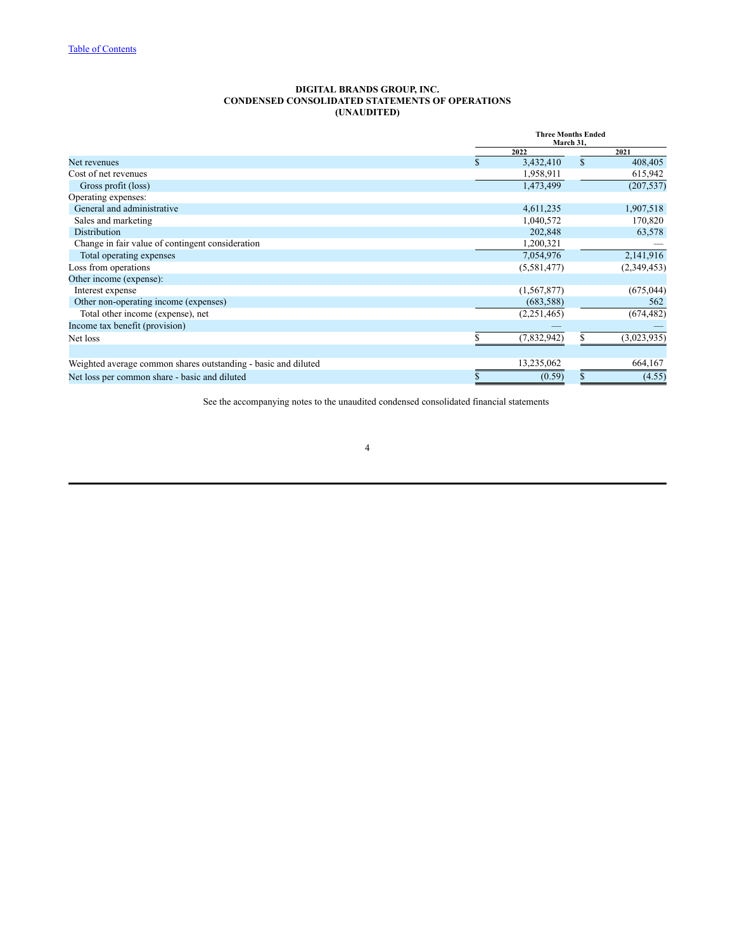## **DIGITAL BRANDS GROUP, INC. CONDENSED CONSOLIDATED STATEMENTS OF OPERATIONS (UNAUDITED)**

<span id="page-3-0"></span>

|                                                                | <b>Three Months Ended</b><br>March 31, |              |             |
|----------------------------------------------------------------|----------------------------------------|--------------|-------------|
|                                                                | 2022                                   |              | 2021        |
| Net revenues                                                   | 3,432,410                              | $\mathbb{S}$ | 408,405     |
| Cost of net revenues                                           | 1,958,911                              |              | 615,942     |
| Gross profit (loss)                                            | 1,473,499                              |              | (207, 537)  |
| Operating expenses:                                            |                                        |              |             |
| General and administrative                                     | 4,611,235                              |              | 1,907,518   |
| Sales and marketing                                            | 1,040,572                              |              | 170,820     |
| Distribution                                                   | 202,848                                |              | 63,578      |
| Change in fair value of contingent consideration               | 1,200,321                              |              |             |
| Total operating expenses                                       | 7,054,976                              |              | 2,141,916   |
| Loss from operations                                           | (5,581,477)                            |              | (2,349,453) |
| Other income (expense):                                        |                                        |              |             |
| Interest expense                                               | (1, 567, 877)                          |              | (675, 044)  |
| Other non-operating income (expenses)                          | (683, 588)                             |              | 562         |
| Total other income (expense), net                              | (2,251,465)                            |              | (674, 482)  |
| Income tax benefit (provision)                                 |                                        |              |             |
| Net loss                                                       | (7, 832, 942)                          | S.           | (3,023,935) |
| Weighted average common shares outstanding - basic and diluted | 13,235,062                             |              | 664,167     |
| Net loss per common share - basic and diluted                  | (0.59)                                 |              | (4.55)      |

See the accompanying notes to the unaudited condensed consolidated financial statements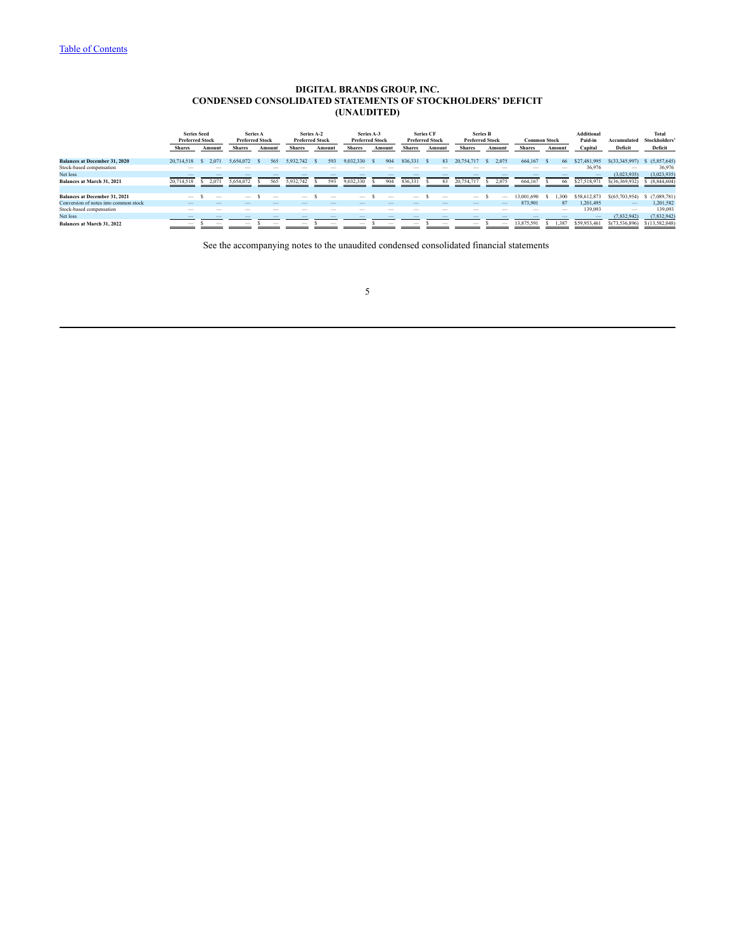## **DIGITAL BRANDS GROUP, INC. CONDENSED CONSOLIDATED STATEMENTS OF STOCKHOLDERS' DEFICIT (UNAUDITED)**

<span id="page-4-0"></span>

|                                       | <b>Series Seed</b><br><b>Preferred Stock</b> |        | <b>Series A</b><br><b>Preferred Stock</b> |                          |                          | Series A-2<br><b>Preferred Stock</b> | Series A-3<br><b>Preferred Stock</b> |        |               | <b>Series CF</b><br><b>Preferred Stock</b> | <b>Series B</b><br><b>Preferred Stock</b> |                          |                          | <b>Common Stock</b>      | <b>Additional</b><br>Paid-in | Accumulated              | Total<br>Stockholders' |
|---------------------------------------|----------------------------------------------|--------|-------------------------------------------|--------------------------|--------------------------|--------------------------------------|--------------------------------------|--------|---------------|--------------------------------------------|-------------------------------------------|--------------------------|--------------------------|--------------------------|------------------------------|--------------------------|------------------------|
|                                       | <b>Shares</b>                                | Amount | <b>Shares</b>                             | Amount                   | <b>Shares</b>            | Amount                               | <b>Shares</b>                        | Amount | <b>Shares</b> | Amount                                     | <b>Shares</b>                             | Amount                   | <b>Shares</b>            | Amount                   | Capital                      | Deficit                  | Deficit                |
| <b>Balances at December 31, 2020</b>  | 20.714.518                                   | 2.07   | 5,654,072                                 | 565                      | 5.932.742                | 593                                  | 9.032.330                            | 904    | 836.331       | 83                                         | 20,754,717                                | 2.075                    | 664.167                  | 66                       | \$27,481,995                 | \$(33,345,997)           | (5,857,645)            |
| Stock-based compensation              |                                              |        |                                           |                          |                          |                                      |                                      |        |               |                                            |                                           |                          |                          |                          | 36,976                       | $\overline{\phantom{a}}$ | 36,976                 |
| Net loss                              |                                              |        |                                           |                          |                          |                                      |                                      |        |               |                                            |                                           |                          |                          |                          |                              | (3,023,935)              | (3,023,935)            |
| <b>Balances at March 31, 2021</b>     | 20.714.518                                   | 2.07   | 5.654.072                                 | 565                      | 5.932.742                | 593                                  | 9.032.330                            | 904    | 836.331       | 83                                         | 20.754.717                                | 2.075                    | 664.167                  | 66                       | \$27.518.971                 | $$$ $(36.369.932)$       | (8,844,604)            |
|                                       |                                              |        |                                           |                          |                          |                                      |                                      |        |               |                                            |                                           |                          |                          |                          |                              |                          |                        |
| <b>Balances at December 31, 2021</b>  |                                              |        |                                           |                          |                          |                                      |                                      |        |               |                                            |                                           |                          | 13,001,690               | .300                     | \$58.612.873                 | \$(65,703,954)           | (7,089,781)            |
| Conversion of notes into common stock |                                              |        |                                           |                          |                          |                                      |                                      |        |               |                                            |                                           |                          | 873.901                  | 87                       | 1.201.495                    |                          | 1,201,582              |
| Stock-based compensation              | _                                            |        |                                           | -                        |                          |                                      |                                      |        |               |                                            |                                           |                          | $\overline{\phantom{a}}$ | $\overline{\phantom{a}}$ | 139.093                      |                          | 139,093                |
| Net loss                              |                                              |        |                                           | $\overline{\phantom{a}}$ |                          |                                      |                                      |        |               |                                            |                                           |                          |                          |                          | $\overline{\phantom{a}}$     | (7,832,942)              | (7,832,942)            |
| <b>Balances at March 31, 2022</b>     |                                              |        | $\overline{\phantom{a}}$                  |                          | $\overline{\phantom{a}}$ |                                      | $\overline{\phantom{a}}$             |        |               |                                            | $\overline{\phantom{a}}$                  | $\overline{\phantom{a}}$ | 13.875.591               | .387                     | \$59,953.461                 | \$(73, 536, 896)         | \$(13,582,048)         |

See the accompanying notes to the unaudited condensed consolidated financial statements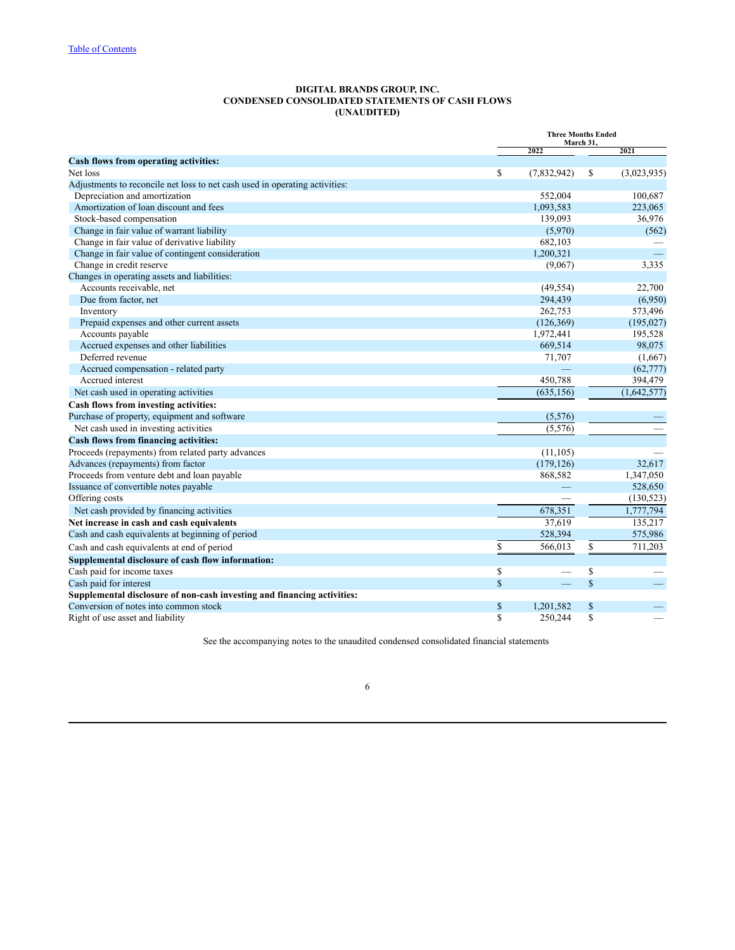### **DIGITAL BRANDS GROUP, INC. CONDENSED CONSOLIDATED STATEMENTS OF CASH FLOWS (UNAUDITED)**

<span id="page-5-0"></span>

|                                                                             | <b>Three Months Ended</b> |             |             |
|-----------------------------------------------------------------------------|---------------------------|-------------|-------------|
|                                                                             | 2022                      | March 31,   | 2021        |
| Cash flows from operating activities:                                       |                           |             |             |
| Net loss                                                                    | \$<br>(7,832,942)         | \$          | (3,023,935) |
| Adjustments to reconcile net loss to net cash used in operating activities: |                           |             |             |
| Depreciation and amortization                                               | 552,004                   |             | 100,687     |
| Amortization of loan discount and fees                                      | 1,093,583                 |             | 223,065     |
| Stock-based compensation                                                    | 139,093                   |             | 36,976      |
| Change in fair value of warrant liability                                   | (5,970)                   |             | (562)       |
| Change in fair value of derivative liability                                | 682,103                   |             |             |
| Change in fair value of contingent consideration                            | 1,200,321                 |             |             |
| Change in credit reserve                                                    | (9,067)                   |             | 3,335       |
| Changes in operating assets and liabilities:                                |                           |             |             |
| Accounts receivable, net                                                    | (49, 554)                 |             | 22,700      |
| Due from factor, net                                                        | 294,439                   |             | (6,950)     |
| Inventory                                                                   | 262,753                   |             | 573,496     |
| Prepaid expenses and other current assets                                   | (126, 369)                |             | (195, 027)  |
| Accounts payable                                                            | 1,972,441                 |             | 195,528     |
| Accrued expenses and other liabilities                                      | 669,514                   |             | 98,075      |
| Deferred revenue                                                            | 71,707                    |             | (1,667)     |
| Accrued compensation - related party                                        |                           |             | (62, 777)   |
| Accrued interest                                                            | 450,788                   |             | 394,479     |
| Net cash used in operating activities                                       | (635, 156)                |             | (1,642,577) |
| Cash flows from investing activities:                                       |                           |             |             |
| Purchase of property, equipment and software                                | (5,576)                   |             |             |
| Net cash used in investing activities                                       | (5,576)                   |             |             |
| <b>Cash flows from financing activities:</b>                                |                           |             |             |
| Proceeds (repayments) from related party advances                           | (11, 105)                 |             |             |
| Advances (repayments) from factor                                           | (179, 126)                |             | 32,617      |
| Proceeds from venture debt and loan payable                                 | 868,582                   |             | 1,347,050   |
| Issuance of convertible notes payable                                       |                           |             | 528,650     |
| Offering costs                                                              |                           |             | (130, 523)  |
| Net cash provided by financing activities                                   | 678,351                   |             | 1,777,794   |
| Net increase in cash and cash equivalents                                   | 37,619                    |             | 135,217     |
| Cash and cash equivalents at beginning of period                            | 528,394                   |             | 575,986     |
| Cash and cash equivalents at end of period                                  | \$<br>566,013             | \$          | 711,203     |
| Supplemental disclosure of cash flow information:                           |                           |             |             |
| Cash paid for income taxes                                                  | \$                        | \$          |             |
| Cash paid for interest                                                      | \$                        | $\mathbf S$ |             |
| Supplemental disclosure of non-cash investing and financing activities:     |                           |             |             |
| Conversion of notes into common stock                                       | \$<br>1,201,582           | \$          |             |
| Right of use asset and liability                                            | \$<br>250,244             | \$          |             |

See the accompanying notes to the unaudited condensed consolidated financial statements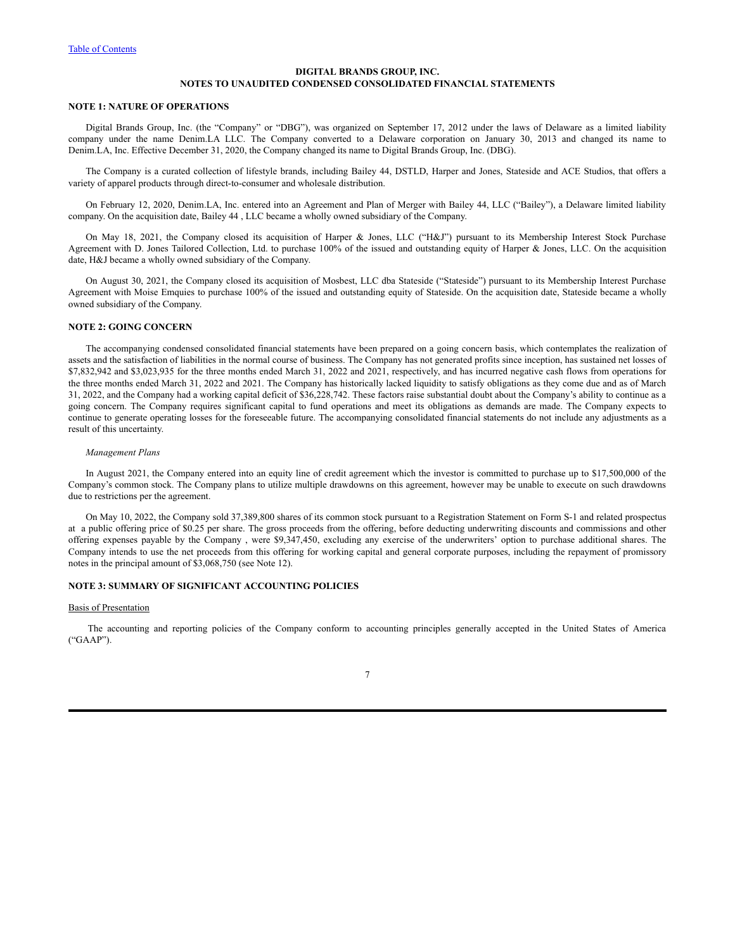## <span id="page-6-0"></span>**NOTE 1: NATURE OF OPERATIONS**

Digital Brands Group, Inc. (the "Company" or "DBG"), was organized on September 17, 2012 under the laws of Delaware as a limited liability company under the name Denim.LA LLC. The Company converted to a Delaware corporation on January 30, 2013 and changed its name to Denim.LA, Inc. Effective December 31, 2020, the Company changed its name to Digital Brands Group, Inc. (DBG).

The Company is a curated collection of lifestyle brands, including Bailey 44, DSTLD, Harper and Jones, Stateside and ACE Studios, that offers a variety of apparel products through direct-to-consumer and wholesale distribution.

On February 12, 2020, Denim.LA, Inc. entered into an Agreement and Plan of Merger with Bailey 44, LLC ("Bailey"), a Delaware limited liability company. On the acquisition date, Bailey 44 , LLC became a wholly owned subsidiary of the Company.

On May 18, 2021, the Company closed its acquisition of Harper & Jones, LLC ("H&J") pursuant to its Membership Interest Stock Purchase Agreement with D. Jones Tailored Collection, Ltd. to purchase 100% of the issued and outstanding equity of Harper & Jones, LLC. On the acquisition date, H&J became a wholly owned subsidiary of the Company.

On August 30, 2021, the Company closed its acquisition of Mosbest, LLC dba Stateside ("Stateside") pursuant to its Membership Interest Purchase Agreement with Moise Emquies to purchase 100% of the issued and outstanding equity of Stateside. On the acquisition date, Stateside became a wholly owned subsidiary of the Company.

#### **NOTE 2: GOING CONCERN**

The accompanying condensed consolidated financial statements have been prepared on a going concern basis, which contemplates the realization of assets and the satisfaction of liabilities in the normal course of business. The Company has not generated profits since inception, has sustained net losses of \$7,832,942 and \$3,023,935 for the three months ended March 31, 2022 and 2021, respectively, and has incurred negative cash flows from operations for the three months ended March 31, 2022 and 2021. The Company has historically lacked liquidity to satisfy obligations as they come due and as of March 31, 2022, and the Company had a working capital deficit of \$36,228,742. These factors raise substantial doubt about the Company's ability to continue as a going concern. The Company requires significant capital to fund operations and meet its obligations as demands are made. The Company expects to continue to generate operating losses for the foreseeable future. The accompanying consolidated financial statements do not include any adjustments as a result of this uncertainty.

#### *Management Plans*

In August 2021, the Company entered into an equity line of credit agreement which the investor is committed to purchase up to \$17,500,000 of the Company's common stock. The Company plans to utilize multiple drawdowns on this agreement, however may be unable to execute on such drawdowns due to restrictions per the agreement.

On May 10, 2022, the Company sold 37,389,800 shares of its common stock pursuant to a Registration Statement on Form S-1 and related prospectus at a public offering price of \$0.25 per share. The gross proceeds from the offering, before deducting underwriting discounts and commissions and other offering expenses payable by the Company , were \$9,347,450, excluding any exercise of the underwriters' option to purchase additional shares. The Company intends to use the net proceeds from this offering for working capital and general corporate purposes, including the repayment of promissory notes in the principal amount of \$3,068,750 (see Note 12).

# **NOTE 3: SUMMARY OF SIGNIFICANT ACCOUNTING POLICIES**

### Basis of Presentation

The accounting and reporting policies of the Company conform to accounting principles generally accepted in the United States of America ("GAAP").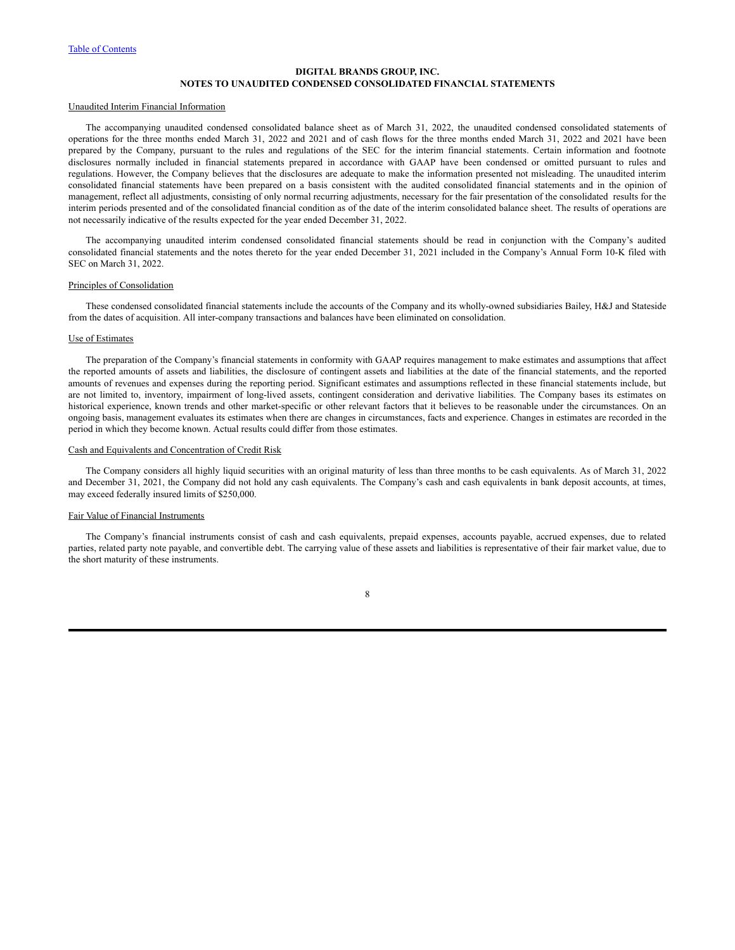#### Unaudited Interim Financial Information

The accompanying unaudited condensed consolidated balance sheet as of March 31, 2022, the unaudited condensed consolidated statements of operations for the three months ended March 31, 2022 and 2021 and of cash flows for the three months ended March 31, 2022 and 2021 have been prepared by the Company, pursuant to the rules and regulations of the SEC for the interim financial statements. Certain information and footnote disclosures normally included in financial statements prepared in accordance with GAAP have been condensed or omitted pursuant to rules and regulations. However, the Company believes that the disclosures are adequate to make the information presented not misleading. The unaudited interim consolidated financial statements have been prepared on a basis consistent with the audited consolidated financial statements and in the opinion of management, reflect all adjustments, consisting of only normal recurring adjustments, necessary for the fair presentation of the consolidated results for the interim periods presented and of the consolidated financial condition as of the date of the interim consolidated balance sheet. The results of operations are not necessarily indicative of the results expected for the year ended December 31, 2022.

The accompanying unaudited interim condensed consolidated financial statements should be read in conjunction with the Company's audited consolidated financial statements and the notes thereto for the year ended December 31, 2021 included in the Company's Annual Form 10-K filed with SEC on March 31, 2022.

#### Principles of Consolidation

These condensed consolidated financial statements include the accounts of the Company and its wholly-owned subsidiaries Bailey, H&J and Stateside from the dates of acquisition. All inter-company transactions and balances have been eliminated on consolidation.

#### Use of Estimates

The preparation of the Company's financial statements in conformity with GAAP requires management to make estimates and assumptions that affect the reported amounts of assets and liabilities, the disclosure of contingent assets and liabilities at the date of the financial statements, and the reported amounts of revenues and expenses during the reporting period. Significant estimates and assumptions reflected in these financial statements include, but are not limited to, inventory, impairment of long-lived assets, contingent consideration and derivative liabilities. The Company bases its estimates on historical experience, known trends and other market-specific or other relevant factors that it believes to be reasonable under the circumstances. On an ongoing basis, management evaluates its estimates when there are changes in circumstances, facts and experience. Changes in estimates are recorded in the period in which they become known. Actual results could differ from those estimates.

#### Cash and Equivalents and Concentration of Credit Risk

The Company considers all highly liquid securities with an original maturity of less than three months to be cash equivalents. As of March 31, 2022 and December 31, 2021, the Company did not hold any cash equivalents. The Company's cash and cash equivalents in bank deposit accounts, at times, may exceed federally insured limits of \$250,000.

## Fair Value of Financial Instruments

The Company's financial instruments consist of cash and cash equivalents, prepaid expenses, accounts payable, accrued expenses, due to related parties, related party note payable, and convertible debt. The carrying value of these assets and liabilities is representative of their fair market value, due to the short maturity of these instruments.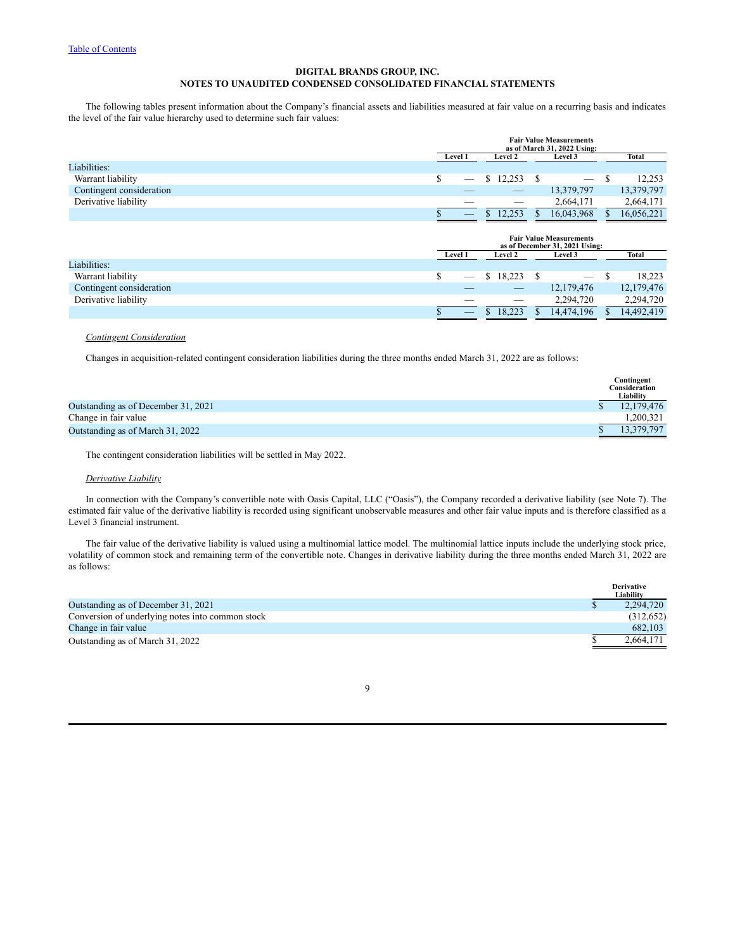The following tables present information about the Company's financial assets and liabilities measured at fair value on a recurring basis and indicates the level of the fair value hierarchy used to determine such fair values:

|                          | <b>Fair Value Measurements</b><br>as of March 31, 2022 Using: |             |  |                          |    |            |
|--------------------------|---------------------------------------------------------------|-------------|--|--------------------------|----|------------|
|                          | <b>Level 1</b>                                                | Level 2     |  | Level 3                  |    | Total      |
| Liabilities:             |                                                               |             |  |                          |    |            |
| Warrant liability        | \$<br>$\qquad \qquad -$                                       | 12,253<br>S |  | $\overline{\phantom{0}}$ |    | 12,253     |
| Contingent consideration |                                                               |             |  | 13,379,797               |    | 13,379,797 |
| Derivative liability     |                                                               |             |  | 2,664,171                |    | 2,664,171  |
|                          |                                                               | 12.253      |  | 16,043,968               | Ğ. | 16,056,221 |
|                          | <b>Fair Value Measurements</b>                                |             |  |                          |    |            |

|                          | rair value measurements<br>as of December 31, 2021 Using: |                |                                 |            |  |
|--------------------------|-----------------------------------------------------------|----------------|---------------------------------|------------|--|
|                          | Level 1                                                   | <b>Level 2</b> | Level 3                         | Total      |  |
| Liabilities:             |                                                           |                |                                 |            |  |
| Warrant liability        |                                                           | 18.223         | $\hspace{0.1mm}-\hspace{0.1mm}$ | 18.223     |  |
| Contingent consideration |                                                           |                | 12,179,476                      | 12,179,476 |  |
| Derivative liability     | __                                                        |                | 2.294.720                       | 2.294.720  |  |
|                          |                                                           | 18,223         | 14.474.196                      | 14.492.419 |  |

# *Contingent Consideration*

Changes in acquisition-related contingent consideration liabilities during the three months ended March 31, 2022 are as follows:

|                                     |  | Contingent<br><b>Consideration</b><br>Liability |
|-------------------------------------|--|-------------------------------------------------|
| Outstanding as of December 31, 2021 |  | 12.179.476                                      |
| Change in fair value                |  | 1.200.321                                       |
| Outstanding as of March 31, 2022    |  | 13,379,797                                      |

The contingent consideration liabilities will be settled in May 2022.

#### *Derivative Liability*

In connection with the Company's convertible note with Oasis Capital, LLC ("Oasis"), the Company recorded a derivative liability (see Note 7). The estimated fair value of the derivative liability is recorded using significant unobservable measures and other fair value inputs and is therefore classified as a Level 3 financial instrument.

The fair value of the derivative liability is valued using a multinomial lattice model. The multinomial lattice inputs include the underlying stock price, volatility of common stock and remaining term of the convertible note. Changes in derivative liability during the three months ended March 31, 2022 are as follows:

|                                                  | <b>Derivative</b><br>Liability |
|--------------------------------------------------|--------------------------------|
| Outstanding as of December 31, 2021              | 2,294,720                      |
| Conversion of underlying notes into common stock | (312, 652)                     |
| Change in fair value                             | 682.103                        |
| Outstanding as of March 31, 2022                 | 2,664,171                      |

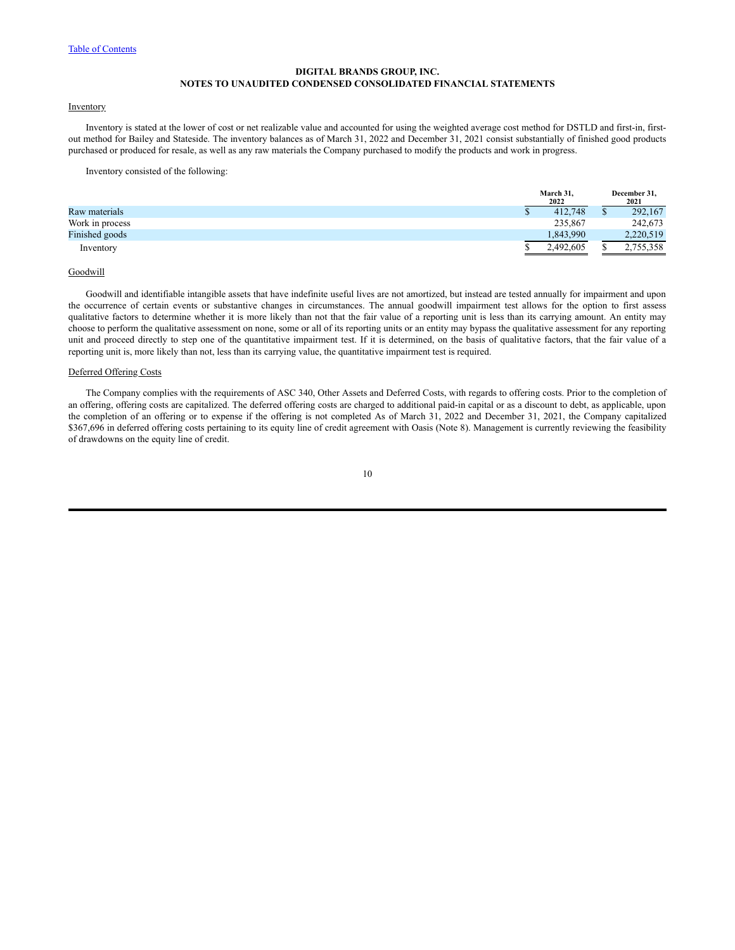### **Inventory**

Inventory is stated at the lower of cost or net realizable value and accounted for using the weighted average cost method for DSTLD and first-in, firstout method for Bailey and Stateside. The inventory balances as of March 31, 2022 and December 31, 2021 consist substantially of finished good products purchased or produced for resale, as well as any raw materials the Company purchased to modify the products and work in progress.

Inventory consisted of the following:

|                 | March 31,<br>2022 | December 31,<br>2021 |           |
|-----------------|-------------------|----------------------|-----------|
| Raw materials   | 412,748           |                      | 292,167   |
| Work in process | 235,867           |                      | 242,673   |
| Finished goods  | 843,990           |                      | 2,220,519 |
| Inventory       | 2.492.605         |                      | 2,755,358 |

## Goodwill

Goodwill and identifiable intangible assets that have indefinite useful lives are not amortized, but instead are tested annually for impairment and upon the occurrence of certain events or substantive changes in circumstances. The annual goodwill impairment test allows for the option to first assess qualitative factors to determine whether it is more likely than not that the fair value of a reporting unit is less than its carrying amount. An entity may choose to perform the qualitative assessment on none, some or all of its reporting units or an entity may bypass the qualitative assessment for any reporting unit and proceed directly to step one of the quantitative impairment test. If it is determined, on the basis of qualitative factors, that the fair value of a reporting unit is, more likely than not, less than its carrying value, the quantitative impairment test is required.

### Deferred Offering Costs

The Company complies with the requirements of ASC 340, Other Assets and Deferred Costs, with regards to offering costs. Prior to the completion of an offering, offering costs are capitalized. The deferred offering costs are charged to additional paid-in capital or as a discount to debt, as applicable, upon the completion of an offering or to expense if the offering is not completed As of March 31, 2022 and December 31, 2021, the Company capitalized \$367,696 in deferred offering costs pertaining to its equity line of credit agreement with Oasis (Note 8). Management is currently reviewing the feasibility of drawdowns on the equity line of credit.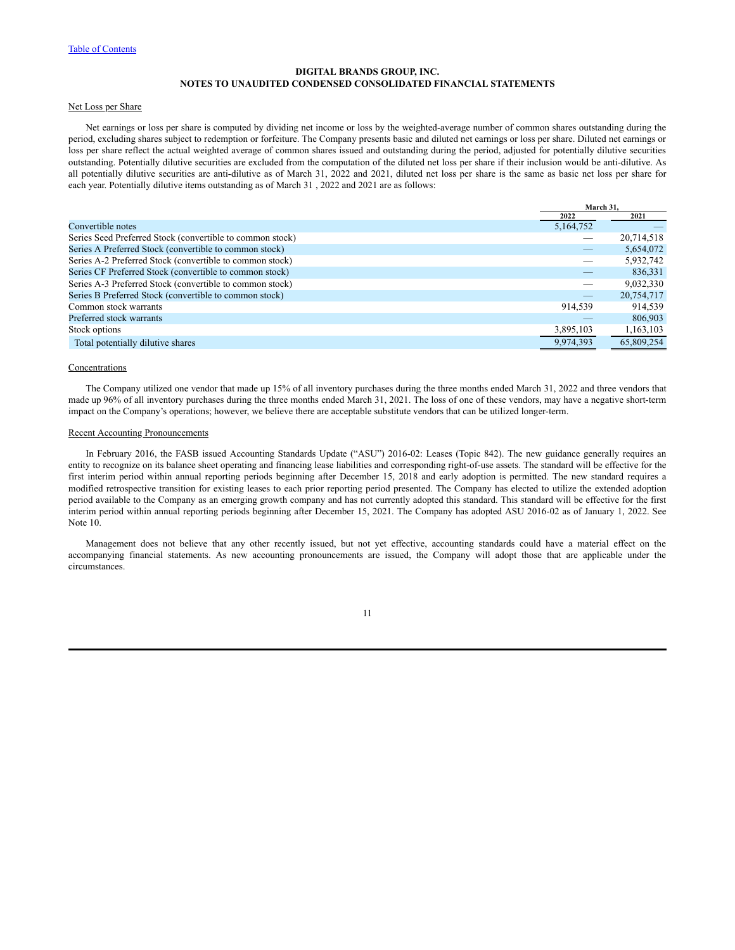## Net Loss per Share

Net earnings or loss per share is computed by dividing net income or loss by the weighted-average number of common shares outstanding during the period, excluding shares subject to redemption or forfeiture. The Company presents basic and diluted net earnings or loss per share. Diluted net earnings or loss per share reflect the actual weighted average of common shares issued and outstanding during the period, adjusted for potentially dilutive securities outstanding. Potentially dilutive securities are excluded from the computation of the diluted net loss per share if their inclusion would be anti-dilutive. As all potentially dilutive securities are anti-dilutive as of March 31, 2022 and 2021, diluted net loss per share is the same as basic net loss per share for each year. Potentially dilutive items outstanding as of March 31 , 2022 and 2021 are as follows:

| March 31. |            |
|-----------|------------|
| 2022      | 2021       |
| 5,164,752 |            |
|           | 20,714,518 |
|           | 5,654,072  |
|           | 5,932,742  |
|           | 836,331    |
|           | 9,032,330  |
|           | 20,754,717 |
| 914,539   | 914,539    |
|           | 806,903    |
| 3,895,103 | 1,163,103  |
| 9,974,393 | 65,809,254 |
|           |            |

## **Concentrations**

The Company utilized one vendor that made up 15% of all inventory purchases during the three months ended March 31, 2022 and three vendors that made up 96% of all inventory purchases during the three months ended March 31, 2021. The loss of one of these vendors, may have a negative short-term impact on the Company's operations; however, we believe there are acceptable substitute vendors that can be utilized longer-term.

# Recent Accounting Pronouncements

In February 2016, the FASB issued Accounting Standards Update ("ASU") 2016-02: Leases (Topic 842). The new guidance generally requires an entity to recognize on its balance sheet operating and financing lease liabilities and corresponding right-of-use assets. The standard will be effective for the first interim period within annual reporting periods beginning after December 15, 2018 and early adoption is permitted. The new standard requires a modified retrospective transition for existing leases to each prior reporting period presented. The Company has elected to utilize the extended adoption period available to the Company as an emerging growth company and has not currently adopted this standard. This standard will be effective for the first interim period within annual reporting periods beginning after December 15, 2021. The Company has adopted ASU 2016-02 as of January 1, 2022. See Note 10.

Management does not believe that any other recently issued, but not yet effective, accounting standards could have a material effect on the accompanying financial statements. As new accounting pronouncements are issued, the Company will adopt those that are applicable under the circumstances.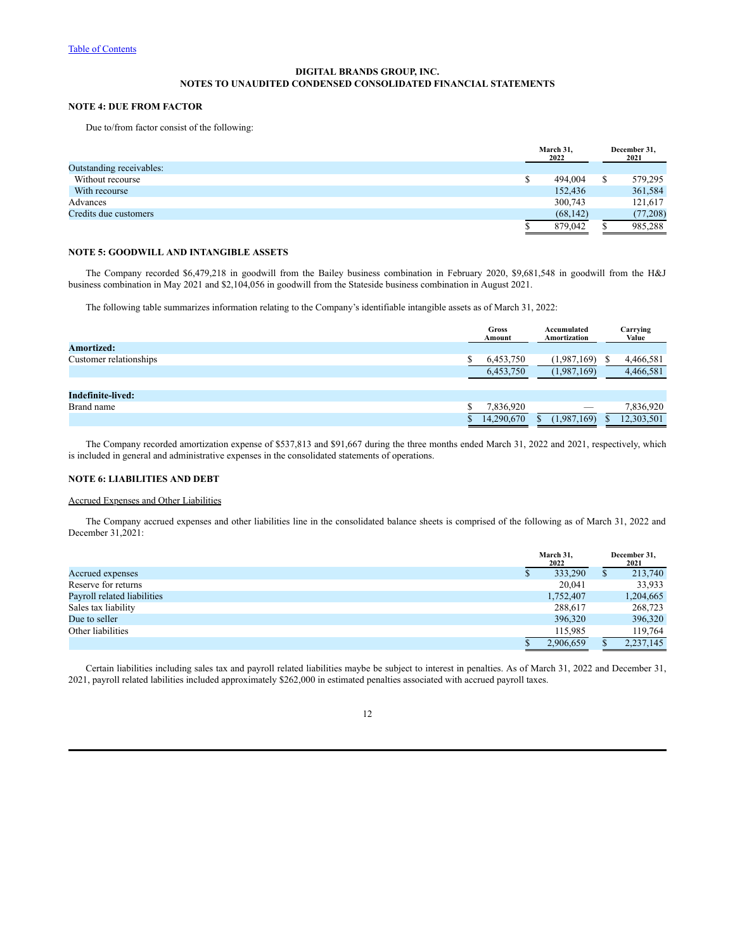# **NOTE 4: DUE FROM FACTOR**

Due to/from factor consist of the following:

|                          | March 31.<br>2022 | December 31,<br>2021 |
|--------------------------|-------------------|----------------------|
| Outstanding receivables: |                   |                      |
| Without recourse         | 494.004           | 579,295              |
| With recourse            | 152,436           | 361,584              |
| Advances                 | 300,743           | 121,617              |
| Credits due customers    | (68, 142)         | (77, 208)            |
|                          | 879.042           | 985,288              |

# **NOTE 5: GOODWILL AND INTANGIBLE ASSETS**

The Company recorded \$6,479,218 in goodwill from the Bailey business combination in February 2020, \$9,681,548 in goodwill from the H&J business combination in May 2021 and \$2,104,056 in goodwill from the Stateside business combination in August 2021.

The following table summarizes information relating to the Company's identifiable intangible assets as of March 31, 2022:

|                        | Gross<br>Amount | Accumulated<br>Amortization | Carrying<br>Value |
|------------------------|-----------------|-----------------------------|-------------------|
| Amortized:             |                 |                             |                   |
| Customer relationships | 6,453,750       | (1,987,169)                 | 4,466,581         |
|                        | 6,453,750       | (1,987,169)                 | 4,466,581         |
|                        |                 |                             |                   |
| Indefinite-lived:      |                 |                             |                   |
| Brand name             |                 | 7,836,920                   | 7,836,920         |
|                        | 14,290,670      | (1,987,169)                 | 12,303,501        |
|                        |                 |                             |                   |

The Company recorded amortization expense of \$537,813 and \$91,667 during the three months ended March 31, 2022 and 2021, respectively, which is included in general and administrative expenses in the consolidated statements of operations.

# **NOTE 6: LIABILITIES AND DEBT**

# Accrued Expenses and Other Liabilities

The Company accrued expenses and other liabilities line in the consolidated balance sheets is comprised of the following as of March 31, 2022 and December 31,2021:

|                             | March 31.<br>2022 | December 31,<br>2021 |
|-----------------------------|-------------------|----------------------|
| Accrued expenses            | 333,290           | 213,740              |
| Reserve for returns         | 20.041            | 33,933               |
| Payroll related liabilities | 1,752,407         | 1,204,665            |
| Sales tax liability         | 288,617           | 268,723              |
| Due to seller               | 396,320           | 396,320              |
| Other liabilities           | 115.985           | 119,764              |
|                             | 2.906.659         | 2.237.145            |

Certain liabilities including sales tax and payroll related liabilities maybe be subject to interest in penalties. As of March 31, 2022 and December 31, 2021, payroll related labilities included approximately \$262,000 in estimated penalties associated with accrued payroll taxes.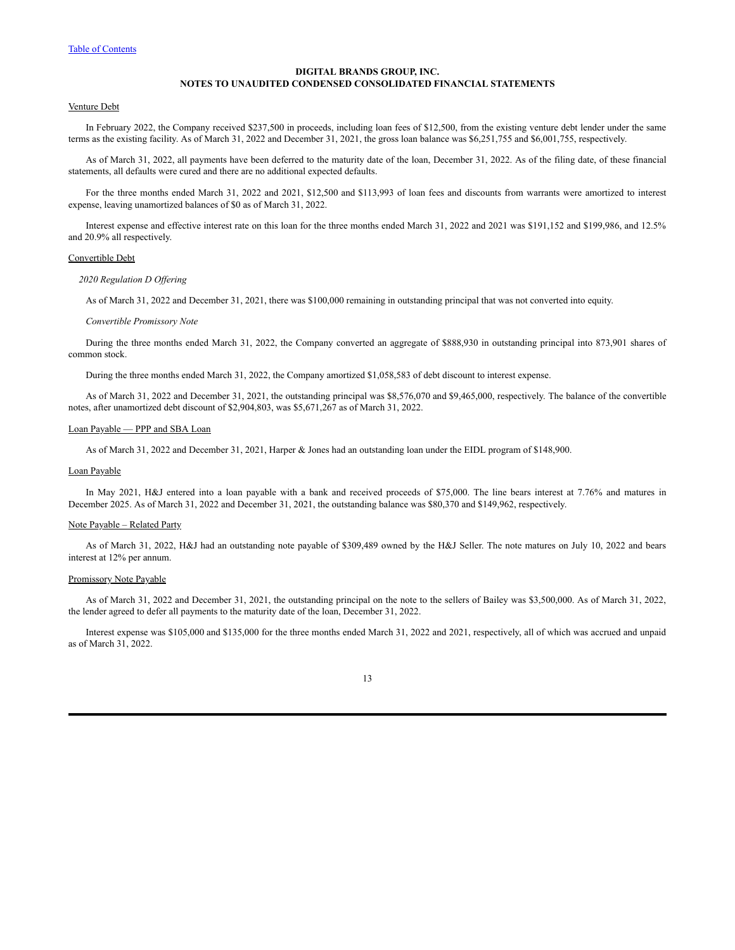## Venture Debt

In February 2022, the Company received \$237,500 in proceeds, including loan fees of \$12,500, from the existing venture debt lender under the same terms as the existing facility. As of March 31, 2022 and December 31, 2021, the gross loan balance was \$6,251,755 and \$6,001,755, respectively.

As of March 31, 2022, all payments have been deferred to the maturity date of the loan, December 31, 2022. As of the filing date, of these financial statements, all defaults were cured and there are no additional expected defaults.

For the three months ended March 31, 2022 and 2021, \$12,500 and \$113,993 of loan fees and discounts from warrants were amortized to interest expense, leaving unamortized balances of \$0 as of March 31, 2022.

Interest expense and effective interest rate on this loan for the three months ended March 31, 2022 and 2021 was \$191,152 and \$199,986, and 12.5% and 20.9% all respectively.

### Convertible Debt

## *2020 Regulation D Of ering*

As of March 31, 2022 and December 31, 2021, there was \$100,000 remaining in outstanding principal that was not converted into equity.

#### *Convertible Promissory Note*

During the three months ended March 31, 2022, the Company converted an aggregate of \$888,930 in outstanding principal into 873,901 shares of common stock.

During the three months ended March 31, 2022, the Company amortized \$1,058,583 of debt discount to interest expense.

As of March 31, 2022 and December 31, 2021, the outstanding principal was \$8,576,070 and \$9,465,000, respectively. The balance of the convertible notes, after unamortized debt discount of \$2,904,803, was \$5,671,267 as of March 31, 2022.

#### Loan Payable — PPP and SBA Loan

As of March 31, 2022 and December 31, 2021, Harper & Jones had an outstanding loan under the EIDL program of \$148,900.

#### Loan Payable

In May 2021, H&J entered into a loan payable with a bank and received proceeds of \$75,000. The line bears interest at 7.76% and matures in December 2025. As of March 31, 2022 and December 31, 2021, the outstanding balance was \$80,370 and \$149,962, respectively.

#### Note Payable – Related Party

As of March 31, 2022, H&J had an outstanding note payable of \$309,489 owned by the H&J Seller. The note matures on July 10, 2022 and bears interest at 12% per annum.

### Promissory Note Payable

As of March 31, 2022 and December 31, 2021, the outstanding principal on the note to the sellers of Bailey was \$3,500,000. As of March 31, 2022, the lender agreed to defer all payments to the maturity date of the loan, December 31, 2022.

Interest expense was \$105,000 and \$135,000 for the three months ended March 31, 2022 and 2021, respectively, all of which was accrued and unpaid as of March 31, 2022.

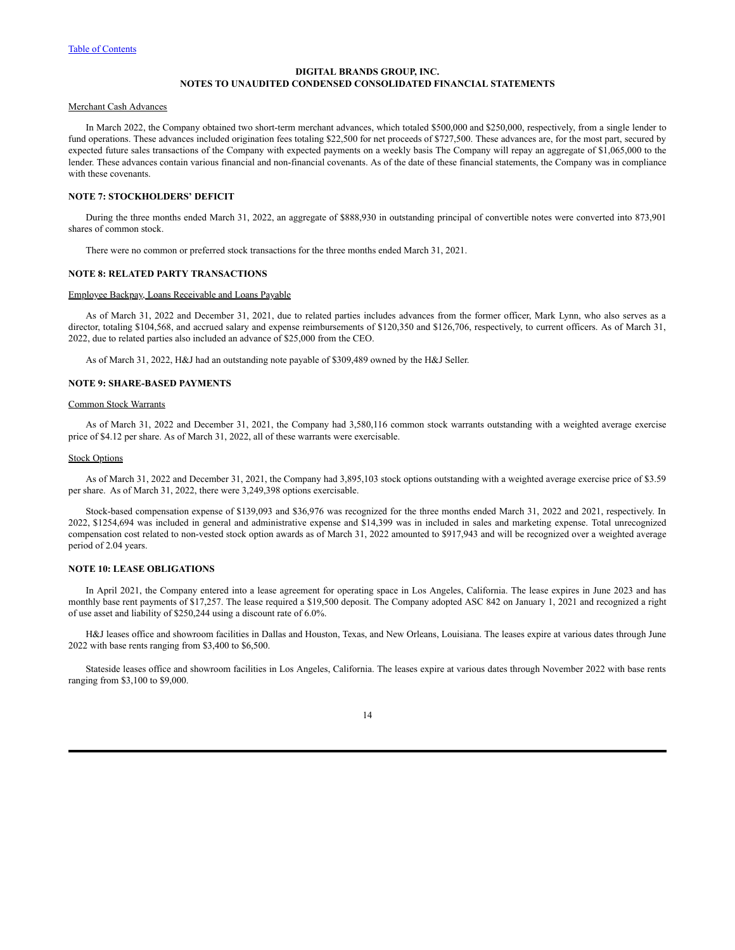#### Merchant Cash Advances

In March 2022, the Company obtained two short-term merchant advances, which totaled \$500,000 and \$250,000, respectively, from a single lender to fund operations. These advances included origination fees totaling \$22,500 for net proceeds of \$727,500. These advances are, for the most part, secured by expected future sales transactions of the Company with expected payments on a weekly basis The Company will repay an aggregate of \$1,065,000 to the lender. These advances contain various financial and non-financial covenants. As of the date of these financial statements, the Company was in compliance with these covenants.

# **NOTE 7: STOCKHOLDERS' DEFICIT**

During the three months ended March 31, 2022, an aggregate of \$888,930 in outstanding principal of convertible notes were converted into 873,901 shares of common stock.

There were no common or preferred stock transactions for the three months ended March 31, 2021.

#### **NOTE 8: RELATED PARTY TRANSACTIONS**

## Employee Backpay, Loans Receivable and Loans Payable

As of March 31, 2022 and December 31, 2021, due to related parties includes advances from the former officer, Mark Lynn, who also serves as a director, totaling \$104,568, and accrued salary and expense reimbursements of \$120,350 and \$126,706, respectively, to current officers. As of March 31, 2022, due to related parties also included an advance of \$25,000 from the CEO.

As of March 31, 2022, H&J had an outstanding note payable of \$309,489 owned by the H&J Seller.

### **NOTE 9: SHARE-BASED PAYMENTS**

#### Common Stock Warrants

As of March 31, 2022 and December 31, 2021, the Company had 3,580,116 common stock warrants outstanding with a weighted average exercise price of \$4.12 per share. As of March 31, 2022, all of these warrants were exercisable.

#### **Stock Options**

As of March 31, 2022 and December 31, 2021, the Company had 3,895,103 stock options outstanding with a weighted average exercise price of \$3.59 per share. As of March 31, 2022, there were 3,249,398 options exercisable.

Stock-based compensation expense of \$139,093 and \$36,976 was recognized for the three months ended March 31, 2022 and 2021, respectively. In 2022, \$1254,694 was included in general and administrative expense and \$14,399 was in included in sales and marketing expense. Total unrecognized compensation cost related to non-vested stock option awards as of March 31, 2022 amounted to \$917,943 and will be recognized over a weighted average period of 2.04 years.

### **NOTE 10: LEASE OBLIGATIONS**

In April 2021, the Company entered into a lease agreement for operating space in Los Angeles, California. The lease expires in June 2023 and has monthly base rent payments of \$17,257. The lease required a \$19,500 deposit. The Company adopted ASC 842 on January 1, 2021 and recognized a right of use asset and liability of \$250,244 using a discount rate of 6.0%.

H&J leases office and showroom facilities in Dallas and Houston, Texas, and New Orleans, Louisiana. The leases expire at various dates through June 2022 with base rents ranging from \$3,400 to \$6,500.

Stateside leases office and showroom facilities in Los Angeles, California. The leases expire at various dates through November 2022 with base rents ranging from \$3,100 to \$9,000.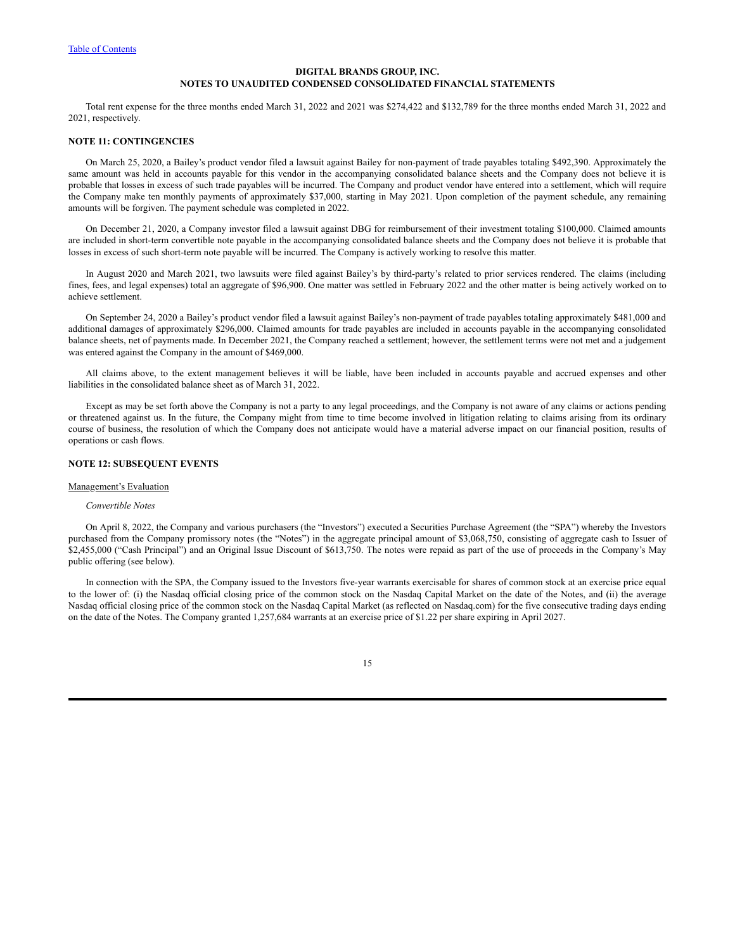Total rent expense for the three months ended March 31, 2022 and 2021 was \$274,422 and \$132,789 for the three months ended March 31, 2022 and 2021, respectively.

### **NOTE 11: CONTINGENCIES**

On March 25, 2020, a Bailey's product vendor filed a lawsuit against Bailey for non-payment of trade payables totaling \$492,390. Approximately the same amount was held in accounts payable for this vendor in the accompanying consolidated balance sheets and the Company does not believe it is probable that losses in excess of such trade payables will be incurred. The Company and product vendor have entered into a settlement, which will require the Company make ten monthly payments of approximately \$37,000, starting in May 2021. Upon completion of the payment schedule, any remaining amounts will be forgiven. The payment schedule was completed in 2022.

On December 21, 2020, a Company investor filed a lawsuit against DBG for reimbursement of their investment totaling \$100,000. Claimed amounts are included in short-term convertible note payable in the accompanying consolidated balance sheets and the Company does not believe it is probable that losses in excess of such short-term note payable will be incurred. The Company is actively working to resolve this matter.

In August 2020 and March 2021, two lawsuits were filed against Bailey's by third-party's related to prior services rendered. The claims (including fines, fees, and legal expenses) total an aggregate of \$96,900. One matter was settled in February 2022 and the other matter is being actively worked on to achieve settlement.

On September 24, 2020 a Bailey's product vendor filed a lawsuit against Bailey's non-payment of trade payables totaling approximately \$481,000 and additional damages of approximately \$296,000. Claimed amounts for trade payables are included in accounts payable in the accompanying consolidated balance sheets, net of payments made. In December 2021, the Company reached a settlement; however, the settlement terms were not met and a judgement was entered against the Company in the amount of \$469,000.

All claims above, to the extent management believes it will be liable, have been included in accounts payable and accrued expenses and other liabilities in the consolidated balance sheet as of March 31, 2022.

Except as may be set forth above the Company is not a party to any legal proceedings, and the Company is not aware of any claims or actions pending or threatened against us. In the future, the Company might from time to time become involved in litigation relating to claims arising from its ordinary course of business, the resolution of which the Company does not anticipate would have a material adverse impact on our financial position, results of operations or cash flows.

# **NOTE 12: SUBSEQUENT EVENTS**

### Management's Evaluation

### *Convertible Notes*

On April 8, 2022, the Company and various purchasers (the "Investors") executed a Securities Purchase Agreement (the "SPA") whereby the Investors purchased from the Company promissory notes (the "Notes") in the aggregate principal amount of \$3,068,750, consisting of aggregate cash to Issuer of \$2,455,000 ("Cash Principal") and an Original Issue Discount of \$613,750. The notes were repaid as part of the use of proceeds in the Company's May public offering (see below).

In connection with the SPA, the Company issued to the Investors five-year warrants exercisable for shares of common stock at an exercise price equal to the lower of: (i) the Nasdaq official closing price of the common stock on the Nasdaq Capital Market on the date of the Notes, and (ii) the average Nasdaq official closing price of the common stock on the Nasdaq Capital Market (as reflected on Nasdaq.com) for the five consecutive trading days ending on the date of the Notes. The Company granted 1,257,684 warrants at an exercise price of \$1.22 per share expiring in April 2027.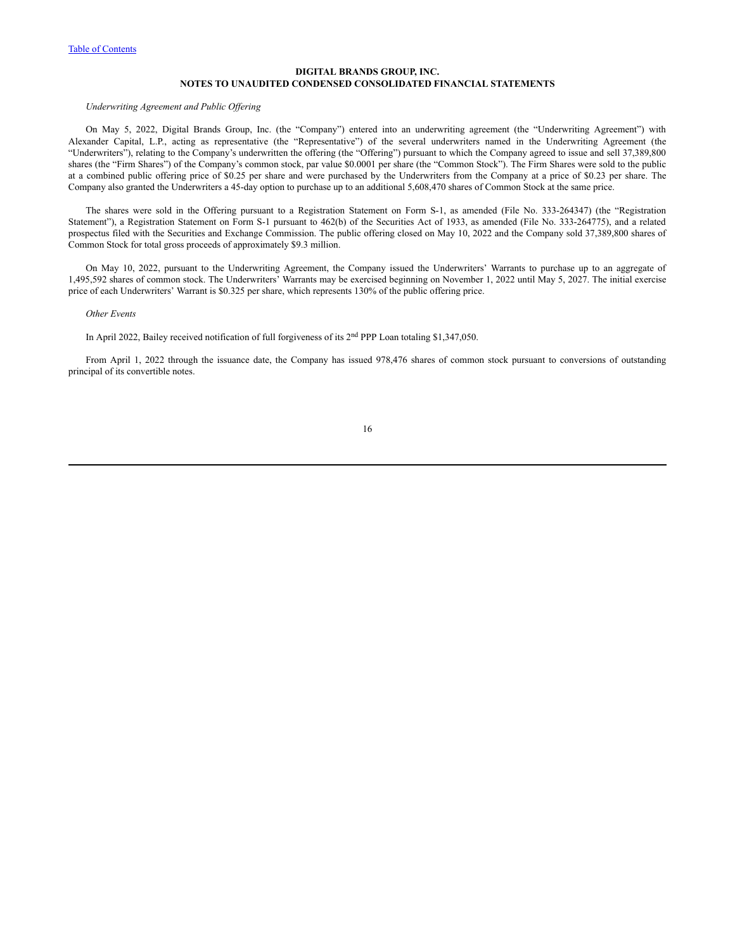# *Underwriting Agreement and Public Of ering*

On May 5, 2022, Digital Brands Group, Inc. (the "Company") entered into an underwriting agreement (the "Underwriting Agreement") with Alexander Capital, L.P., acting as representative (the "Representative") of the several underwriters named in the Underwriting Agreement (the "Underwriters"), relating to the Company's underwritten the offering (the "Offering") pursuant to which the Company agreed to issue and sell 37,389,800 shares (the "Firm Shares") of the Company's common stock, par value \$0.0001 per share (the "Common Stock"). The Firm Shares were sold to the public at a combined public offering price of \$0.25 per share and were purchased by the Underwriters from the Company at a price of \$0.23 per share. The Company also granted the Underwriters a 45-day option to purchase up to an additional 5,608,470 shares of Common Stock at the same price.

The shares were sold in the Offering pursuant to a Registration Statement on Form S-1, as amended (File No. 333-264347) (the "Registration Statement"), a Registration Statement on Form S-1 pursuant to 462(b) of the Securities Act of 1933, as amended (File No. 333-264775), and a related prospectus filed with the Securities and Exchange Commission. The public offering closed on May 10, 2022 and the Company sold 37,389,800 shares of Common Stock for total gross proceeds of approximately \$9.3 million.

On May 10, 2022, pursuant to the Underwriting Agreement, the Company issued the Underwriters' Warrants to purchase up to an aggregate of 1,495,592 shares of common stock. The Underwriters' Warrants may be exercised beginning on November 1, 2022 until May 5, 2027. The initial exercise price of each Underwriters' Warrant is \$0.325 per share, which represents 130% of the public offering price.

## *Other Events*

In April 2022, Bailey received notification of full forgiveness of its  $2<sup>nd</sup>$  PPP Loan totaling \$1,347,050.

From April 1, 2022 through the issuance date, the Company has issued 978,476 shares of common stock pursuant to conversions of outstanding principal of its convertible notes.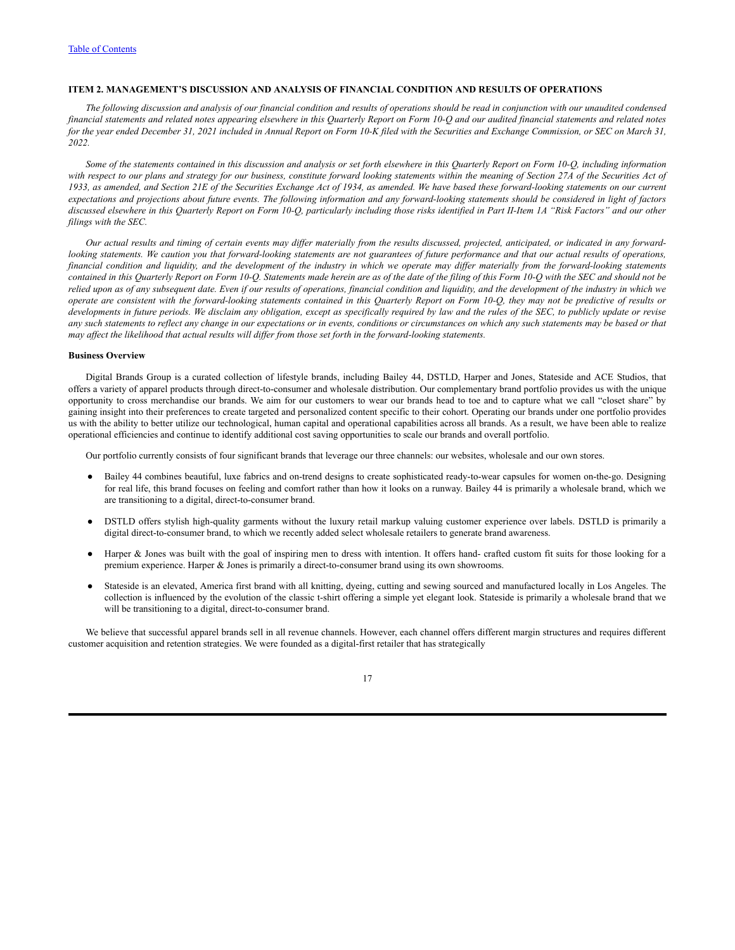# <span id="page-16-0"></span>**ITEM 2. MANAGEMENT'S DISCUSSION AND ANALYSIS OF FINANCIAL CONDITION AND RESULTS OF OPERATIONS**

The following discussion and analysis of our financial condition and results of operations should be read in conjunction with our unaudited condensed financial statements and related notes appearing elsewhere in this Quarterly Report on Form 10-Q and our audited financial statements and related notes for the year ended December 31, 2021 included in Annual Report on Form 10-K filed with the Securities and Exchange Commission, or SEC on March 31, *2022.*

Some of the statements contained in this discussion and analysis or set forth elsewhere in this Quarterly Report on Form 10-Q, including information with respect to our plans and strategy for our business, constitute forward looking statements within the meaning of Section 27A of the Securities Act of 1933, as amended, and Section 21E of the Securities Exchange Act of 1934, as amended. We have based these forward-looking statements on our current expectations and projections about future events. The following information and any forward-looking statements should be considered in light of factors discussed elsewhere in this Quarterly Report on Form 10-Q, particularly including those risks identified in Part II-Item 1A "Risk Factors" and our other *filings with the SEC.*

Our actual results and timing of certain events may differ materially from the results discussed, projected, anticipated, or indicated in any forwardlooking statements. We caution you that forward-looking statements are not guarantees of future performance and that our actual results of operations, financial condition and liquidity, and the development of the industry in which we operate may differ materially from the forward-looking statements contained in this Quarterly Report on Form 10-Q. Statements made herein are as of the date of the filing of this Form 10-Q with the SEC and should not be relied upon as of any subsequent date. Even if our results of operations, financial condition and liquidity, and the development of the industry in which we operate are consistent with the forward-looking statements contained in this Quarterly Report on Form 10-Q, they may not be predictive of results or developments in future periods. We disclaim any obligation, except as specifically required by law and the rules of the SEC, to publicly update or revise any such statements to reflect any change in our expectations or in events, conditions or circumstances on which any such statements may be based or that may affect the likelihood that actual results will differ from those set forth in the forward-looking statements.

#### **Business Overview**

Digital Brands Group is a curated collection of lifestyle brands, including Bailey 44, DSTLD, Harper and Jones, Stateside and ACE Studios, that offers a variety of apparel products through direct-to-consumer and wholesale distribution. Our complementary brand portfolio provides us with the unique opportunity to cross merchandise our brands. We aim for our customers to wear our brands head to toe and to capture what we call "closet share" by gaining insight into their preferences to create targeted and personalized content specific to their cohort. Operating our brands under one portfolio provides us with the ability to better utilize our technological, human capital and operational capabilities across all brands. As a result, we have been able to realize operational efficiencies and continue to identify additional cost saving opportunities to scale our brands and overall portfolio.

Our portfolio currently consists of four significant brands that leverage our three channels: our websites, wholesale and our own stores.

- Bailey 44 combines beautiful, luxe fabrics and on-trend designs to create sophisticated ready-to-wear capsules for women on-the-go. Designing for real life, this brand focuses on feeling and comfort rather than how it looks on a runway. Bailey 44 is primarily a wholesale brand, which we are transitioning to a digital, direct-to-consumer brand.
- DSTLD offers stylish high-quality garments without the luxury retail markup valuing customer experience over labels. DSTLD is primarily a digital direct-to-consumer brand, to which we recently added select wholesale retailers to generate brand awareness.
- Harper & Jones was built with the goal of inspiring men to dress with intention. It offers hand- crafted custom fit suits for those looking for a premium experience. Harper & Jones is primarily a direct-to-consumer brand using its own showrooms.
- Stateside is an elevated, America first brand with all knitting, dyeing, cutting and sewing sourced and manufactured locally in Los Angeles. The collection is influenced by the evolution of the classic t-shirt offering a simple yet elegant look. Stateside is primarily a wholesale brand that we will be transitioning to a digital, direct-to-consumer brand.

We believe that successful apparel brands sell in all revenue channels. However, each channel offers different margin structures and requires different customer acquisition and retention strategies. We were founded as a digital-first retailer that has strategically

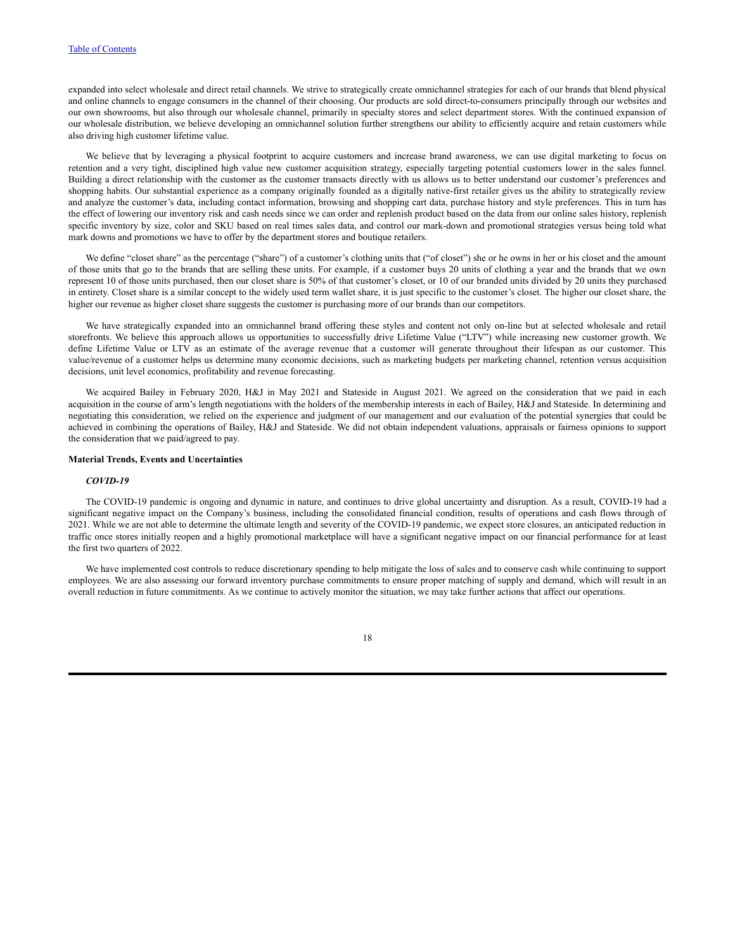expanded into select wholesale and direct retail channels. We strive to strategically create omnichannel strategies for each of our brands that blend physical and online channels to engage consumers in the channel of their choosing. Our products are sold direct-to-consumers principally through our websites and our own showrooms, but also through our wholesale channel, primarily in specialty stores and select department stores. With the continued expansion of our wholesale distribution, we believe developing an omnichannel solution further strengthens our ability to efficiently acquire and retain customers while also driving high customer lifetime value.

We believe that by leveraging a physical footprint to acquire customers and increase brand awareness, we can use digital marketing to focus on retention and a very tight, disciplined high value new customer acquisition strategy, especially targeting potential customers lower in the sales funnel. Building a direct relationship with the customer as the customer transacts directly with us allows us to better understand our customer's preferences and shopping habits. Our substantial experience as a company originally founded as a digitally native-first retailer gives us the ability to strategically review and analyze the customer's data, including contact information, browsing and shopping cart data, purchase history and style preferences. This in turn has the effect of lowering our inventory risk and cash needs since we can order and replenish product based on the data from our online sales history, replenish specific inventory by size, color and SKU based on real times sales data, and control our mark-down and promotional strategies versus being told what mark downs and promotions we have to offer by the department stores and boutique retailers.

We define "closet share" as the percentage ("share") of a customer's clothing units that ("of closet") she or he owns in her or his closet and the amount of those units that go to the brands that are selling these units. For example, if a customer buys 20 units of clothing a year and the brands that we own represent 10 of those units purchased, then our closet share is 50% of that customer's closet, or 10 of our branded units divided by 20 units they purchased in entirety. Closet share is a similar concept to the widely used term wallet share, it is just specific to the customer's closet. The higher our closet share, the higher our revenue as higher closet share suggests the customer is purchasing more of our brands than our competitors.

We have strategically expanded into an omnichannel brand offering these styles and content not only on-line but at selected wholesale and retail storefronts. We believe this approach allows us opportunities to successfully drive Lifetime Value ("LTV") while increasing new customer growth. We define Lifetime Value or LTV as an estimate of the average revenue that a customer will generate throughout their lifespan as our customer. This value/revenue of a customer helps us determine many economic decisions, such as marketing budgets per marketing channel, retention versus acquisition decisions, unit level economics, profitability and revenue forecasting.

We acquired Bailey in February 2020, H&J in May 2021 and Stateside in August 2021. We agreed on the consideration that we paid in each acquisition in the course of arm's length negotiations with the holders of the membership interests in each of Bailey, H&J and Stateside. In determining and negotiating this consideration, we relied on the experience and judgment of our management and our evaluation of the potential synergies that could be achieved in combining the operations of Bailey, H&J and Stateside. We did not obtain independent valuations, appraisals or fairness opinions to support the consideration that we paid/agreed to pay.

#### **Material Trends, Events and Uncertainties**

#### *COVID-19*

The COVID-19 pandemic is ongoing and dynamic in nature, and continues to drive global uncertainty and disruption. As a result, COVID-19 had a significant negative impact on the Company's business, including the consolidated financial condition, results of operations and cash flows through of 2021. While we are not able to determine the ultimate length and severity of the COVID-19 pandemic, we expect store closures, an anticipated reduction in traffic once stores initially reopen and a highly promotional marketplace will have a significant negative impact on our financial performance for at least the first two quarters of 2022.

We have implemented cost controls to reduce discretionary spending to help mitigate the loss of sales and to conserve cash while continuing to support employees. We are also assessing our forward inventory purchase commitments to ensure proper matching of supply and demand, which will result in an overall reduction in future commitments. As we continue to actively monitor the situation, we may take further actions that affect our operations.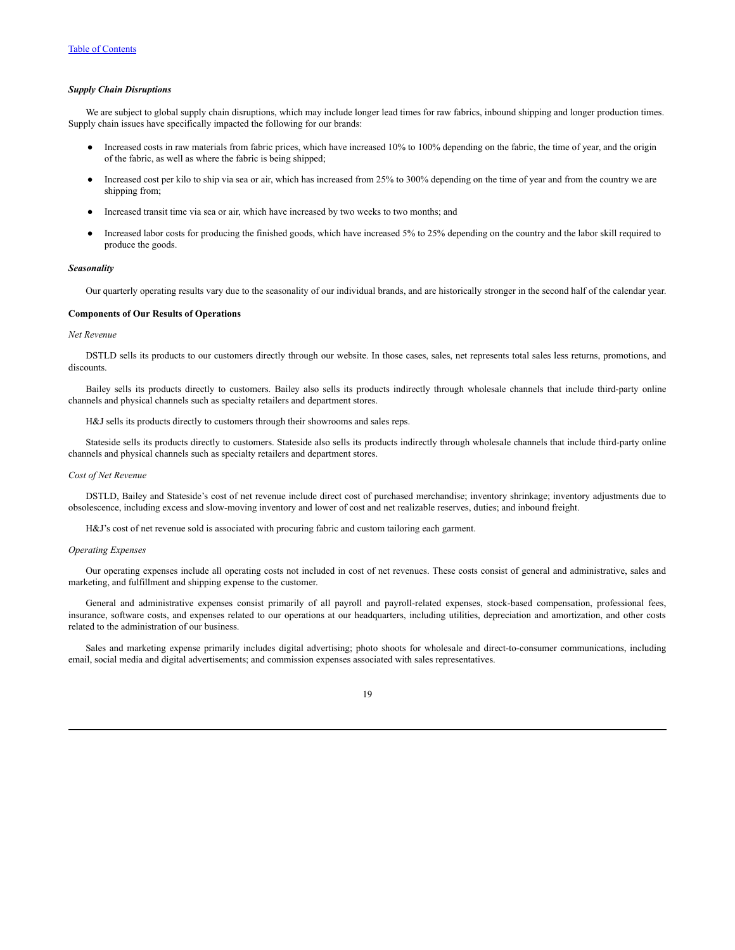# *Supply Chain Disruptions*

We are subject to global supply chain disruptions, which may include longer lead times for raw fabrics, inbound shipping and longer production times. Supply chain issues have specifically impacted the following for our brands:

- Increased costs in raw materials from fabric prices, which have increased 10% to 100% depending on the fabric, the time of year, and the origin of the fabric, as well as where the fabric is being shipped;
- Increased cost per kilo to ship via sea or air, which has increased from 25% to 300% depending on the time of year and from the country we are shipping from;
- Increased transit time via sea or air, which have increased by two weeks to two months; and
- Increased labor costs for producing the finished goods, which have increased 5% to 25% depending on the country and the labor skill required to produce the goods.

#### *Seasonality*

Our quarterly operating results vary due to the seasonality of our individual brands, and are historically stronger in the second half of the calendar year.

## **Components of Our Results of Operations**

*Net Revenue*

DSTLD sells its products to our customers directly through our website. In those cases, sales, net represents total sales less returns, promotions, and discounts.

Bailey sells its products directly to customers. Bailey also sells its products indirectly through wholesale channels that include third-party online channels and physical channels such as specialty retailers and department stores.

H&J sells its products directly to customers through their showrooms and sales reps.

Stateside sells its products directly to customers. Stateside also sells its products indirectly through wholesale channels that include third-party online channels and physical channels such as specialty retailers and department stores.

#### *Cost of Net Revenue*

DSTLD, Bailey and Stateside's cost of net revenue include direct cost of purchased merchandise; inventory shrinkage; inventory adjustments due to obsolescence, including excess and slow-moving inventory and lower of cost and net realizable reserves, duties; and inbound freight.

H&J's cost of net revenue sold is associated with procuring fabric and custom tailoring each garment.

#### *Operating Expenses*

Our operating expenses include all operating costs not included in cost of net revenues. These costs consist of general and administrative, sales and marketing, and fulfillment and shipping expense to the customer.

General and administrative expenses consist primarily of all payroll and payroll-related expenses, stock-based compensation, professional fees, insurance, software costs, and expenses related to our operations at our headquarters, including utilities, depreciation and amortization, and other costs related to the administration of our business.

Sales and marketing expense primarily includes digital advertising; photo shoots for wholesale and direct-to-consumer communications, including email, social media and digital advertisements; and commission expenses associated with sales representatives.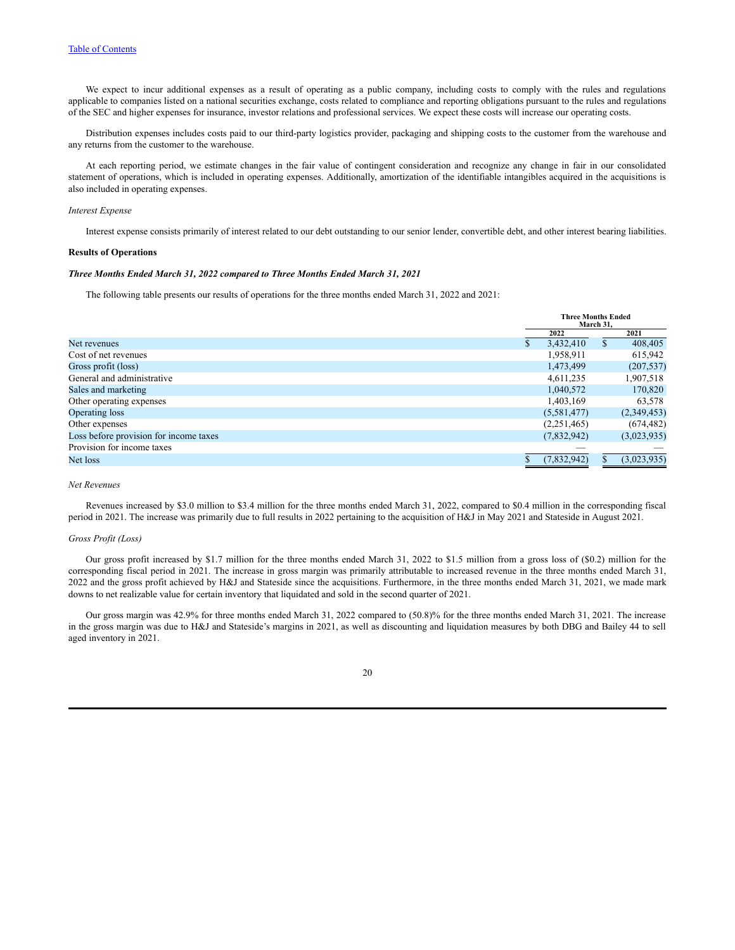We expect to incur additional expenses as a result of operating as a public company, including costs to comply with the rules and regulations applicable to companies listed on a national securities exchange, costs related to compliance and reporting obligations pursuant to the rules and regulations of the SEC and higher expenses for insurance, investor relations and professional services. We expect these costs will increase our operating costs.

Distribution expenses includes costs paid to our third-party logistics provider, packaging and shipping costs to the customer from the warehouse and any returns from the customer to the warehouse.

At each reporting period, we estimate changes in the fair value of contingent consideration and recognize any change in fair in our consolidated statement of operations, which is included in operating expenses. Additionally, amortization of the identifiable intangibles acquired in the acquisitions is also included in operating expenses.

## *Interest Expense*

Interest expense consists primarily of interest related to our debt outstanding to our senior lender, convertible debt, and other interest bearing liabilities.

#### **Results of Operations**

#### *Three Months Ended March 31, 2022 compared to Three Months Ended March 31, 2021*

The following table presents our results of operations for the three months ended March 31, 2022 and 2021:

|                                        | <b>Three Months Ended</b><br>March 31. |  |             |
|----------------------------------------|----------------------------------------|--|-------------|
|                                        | 2022                                   |  | 2021        |
| Net revenues                           | 3,432,410                              |  | 408,405     |
| Cost of net revenues                   | 1,958,911                              |  | 615,942     |
| Gross profit (loss)                    | 1,473,499                              |  | (207, 537)  |
| General and administrative             | 4,611,235                              |  | 1,907,518   |
| Sales and marketing                    | 1,040,572                              |  | 170,820     |
| Other operating expenses               | 1,403,169                              |  | 63,578      |
| Operating loss                         | (5,581,477)                            |  | (2,349,453) |
| Other expenses                         | (2,251,465)                            |  | (674, 482)  |
| Loss before provision for income taxes | (7,832,942)                            |  | (3,023,935) |
| Provision for income taxes             |                                        |  |             |
| Net loss                               | (7,832,942)                            |  | (3,023,935) |

## *Net Revenues*

Revenues increased by \$3.0 million to \$3.4 million for the three months ended March 31, 2022, compared to \$0.4 million in the corresponding fiscal period in 2021. The increase was primarily due to full results in 2022 pertaining to the acquisition of H&J in May 2021 and Stateside in August 2021.

### *Gross Profit (Loss)*

Our gross profit increased by \$1.7 million for the three months ended March 31, 2022 to \$1.5 million from a gross loss of (\$0.2) million for the corresponding fiscal period in 2021. The increase in gross margin was primarily attributable to increased revenue in the three months ended March 31, 2022 and the gross profit achieved by H&J and Stateside since the acquisitions. Furthermore, in the three months ended March 31, 2021, we made mark downs to net realizable value for certain inventory that liquidated and sold in the second quarter of 2021.

Our gross margin was 42.9% for three months ended March 31, 2022 compared to (50.8)% for the three months ended March 31, 2021. The increase in the gross margin was due to H&J and Stateside's margins in 2021, as well as discounting and liquidation measures by both DBG and Bailey 44 to sell aged inventory in 2021.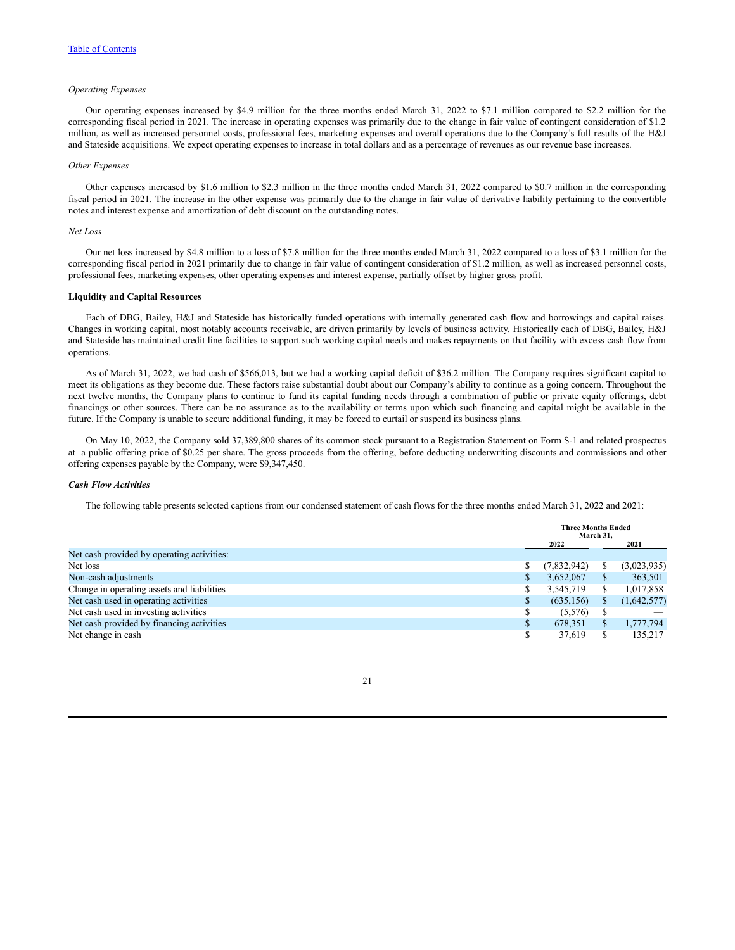# *Operating Expenses*

Our operating expenses increased by \$4.9 million for the three months ended March 31, 2022 to \$7.1 million compared to \$2.2 million for the corresponding fiscal period in 2021. The increase in operating expenses was primarily due to the change in fair value of contingent consideration of \$1.2 million, as well as increased personnel costs, professional fees, marketing expenses and overall operations due to the Company's full results of the H&J and Stateside acquisitions. We expect operating expenses to increase in total dollars and as a percentage of revenues as our revenue base increases.

## *Other Expenses*

Other expenses increased by \$1.6 million to \$2.3 million in the three months ended March 31, 2022 compared to \$0.7 million in the corresponding fiscal period in 2021. The increase in the other expense was primarily due to the change in fair value of derivative liability pertaining to the convertible notes and interest expense and amortization of debt discount on the outstanding notes.

### *Net Loss*

Our net loss increased by \$4.8 million to a loss of \$7.8 million for the three months ended March 31, 2022 compared to a loss of \$3.1 million for the corresponding fiscal period in 2021 primarily due to change in fair value of contingent consideration of \$1.2 million, as well as increased personnel costs, professional fees, marketing expenses, other operating expenses and interest expense, partially offset by higher gross profit.

### **Liquidity and Capital Resources**

Each of DBG, Bailey, H&J and Stateside has historically funded operations with internally generated cash flow and borrowings and capital raises. Changes in working capital, most notably accounts receivable, are driven primarily by levels of business activity. Historically each of DBG, Bailey, H&J and Stateside has maintained credit line facilities to support such working capital needs and makes repayments on that facility with excess cash flow from operations.

As of March 31, 2022, we had cash of \$566,013, but we had a working capital deficit of \$36.2 million. The Company requires significant capital to meet its obligations as they become due. These factors raise substantial doubt about our Company's ability to continue as a going concern. Throughout the next twelve months, the Company plans to continue to fund its capital funding needs through a combination of public or private equity offerings, debt financings or other sources. There can be no assurance as to the availability or terms upon which such financing and capital might be available in the future. If the Company is unable to secure additional funding, it may be forced to curtail or suspend its business plans.

On May 10, 2022, the Company sold 37,389,800 shares of its common stock pursuant to a Registration Statement on Form S-1 and related prospectus at a public offering price of \$0.25 per share. The gross proceeds from the offering, before deducting underwriting discounts and commissions and other offering expenses payable by the Company, were \$9,347,450.

#### *Cash Flow Activities*

The following table presents selected captions from our condensed statement of cash flows for the three months ended March 31, 2022 and 2021:

|                                            | <b>Three Months Ended</b><br>March 31. |             |   |             |
|--------------------------------------------|----------------------------------------|-------------|---|-------------|
|                                            |                                        | 2022        |   | 2021        |
| Net cash provided by operating activities: |                                        |             |   |             |
| Net loss                                   |                                        | (7,832,942) | ъ | (3,023,935) |
| Non-cash adjustments                       |                                        | 3,652,067   |   | 363,501     |
| Change in operating assets and liabilities |                                        | 3,545,719   |   | 1,017,858   |
| Net cash used in operating activities      |                                        | (635, 156)  |   | (1,642,577) |
| Net cash used in investing activities      |                                        | (5,576)     |   |             |
| Net cash provided by financing activities  |                                        | 678,351     |   | 1,777,794   |
| Net change in cash                         |                                        | 37,619      |   | 135,217     |

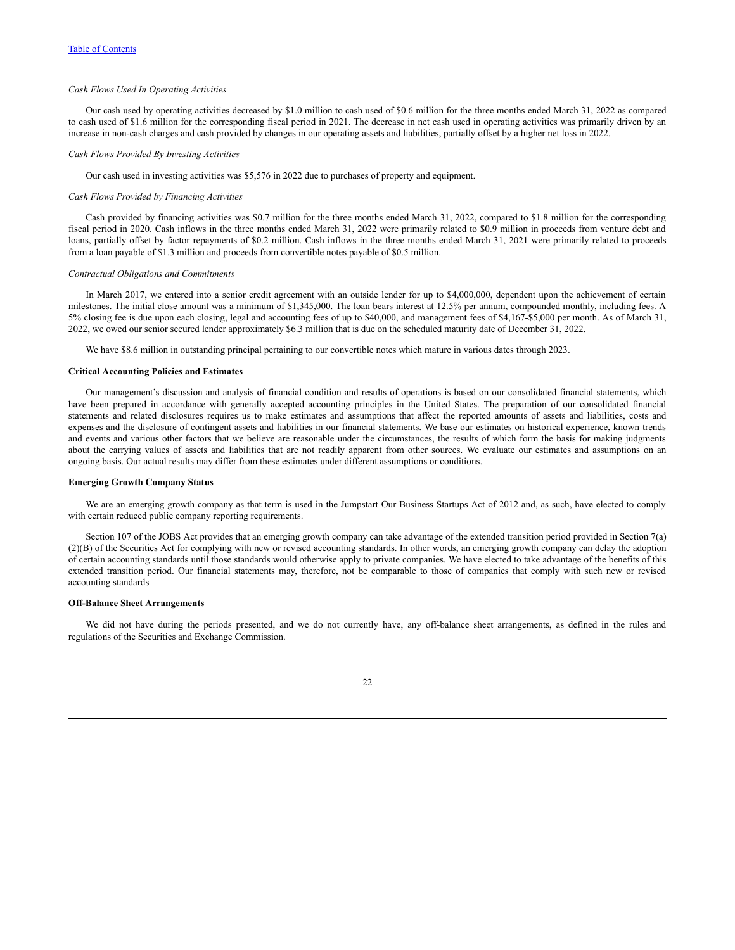# *Cash Flows Used In Operating Activities*

Our cash used by operating activities decreased by \$1.0 million to cash used of \$0.6 million for the three months ended March 31, 2022 as compared to cash used of \$1.6 million for the corresponding fiscal period in 2021. The decrease in net cash used in operating activities was primarily driven by an increase in non-cash charges and cash provided by changes in our operating assets and liabilities, partially offset by a higher net loss in 2022.

#### *Cash Flows Provided By Investing Activities*

Our cash used in investing activities was \$5,576 in 2022 due to purchases of property and equipment.

### *Cash Flows Provided by Financing Activities*

Cash provided by financing activities was \$0.7 million for the three months ended March 31, 2022, compared to \$1.8 million for the corresponding fiscal period in 2020. Cash inflows in the three months ended March 31, 2022 were primarily related to \$0.9 million in proceeds from venture debt and loans, partially offset by factor repayments of \$0.2 million. Cash inflows in the three months ended March 31, 2021 were primarily related to proceeds from a loan payable of \$1.3 million and proceeds from convertible notes payable of \$0.5 million.

#### *Contractual Obligations and Commitments*

In March 2017, we entered into a senior credit agreement with an outside lender for up to \$4,000,000, dependent upon the achievement of certain milestones. The initial close amount was a minimum of \$1,345,000. The loan bears interest at 12.5% per annum, compounded monthly, including fees. A 5% closing fee is due upon each closing, legal and accounting fees of up to \$40,000, and management fees of \$4,167-\$5,000 per month. As of March 31, 2022, we owed our senior secured lender approximately \$6.3 million that is due on the scheduled maturity date of December 31, 2022.

We have \$8.6 million in outstanding principal pertaining to our convertible notes which mature in various dates through 2023.

#### **Critical Accounting Policies and Estimates**

Our management's discussion and analysis of financial condition and results of operations is based on our consolidated financial statements, which have been prepared in accordance with generally accepted accounting principles in the United States. The preparation of our consolidated financial statements and related disclosures requires us to make estimates and assumptions that affect the reported amounts of assets and liabilities, costs and expenses and the disclosure of contingent assets and liabilities in our financial statements. We base our estimates on historical experience, known trends and events and various other factors that we believe are reasonable under the circumstances, the results of which form the basis for making judgments about the carrying values of assets and liabilities that are not readily apparent from other sources. We evaluate our estimates and assumptions on an ongoing basis. Our actual results may differ from these estimates under different assumptions or conditions.

#### **Emerging Growth Company Status**

We are an emerging growth company as that term is used in the Jumpstart Our Business Startups Act of 2012 and, as such, have elected to comply with certain reduced public company reporting requirements.

Section 107 of the JOBS Act provides that an emerging growth company can take advantage of the extended transition period provided in Section 7(a) (2)(B) of the Securities Act for complying with new or revised accounting standards. In other words, an emerging growth company can delay the adoption of certain accounting standards until those standards would otherwise apply to private companies. We have elected to take advantage of the benefits of this extended transition period. Our financial statements may, therefore, not be comparable to those of companies that comply with such new or revised accounting standards

#### **Off-Balance Sheet Arrangements**

We did not have during the periods presented, and we do not currently have, any off-balance sheet arrangements, as defined in the rules and regulations of the Securities and Exchange Commission.

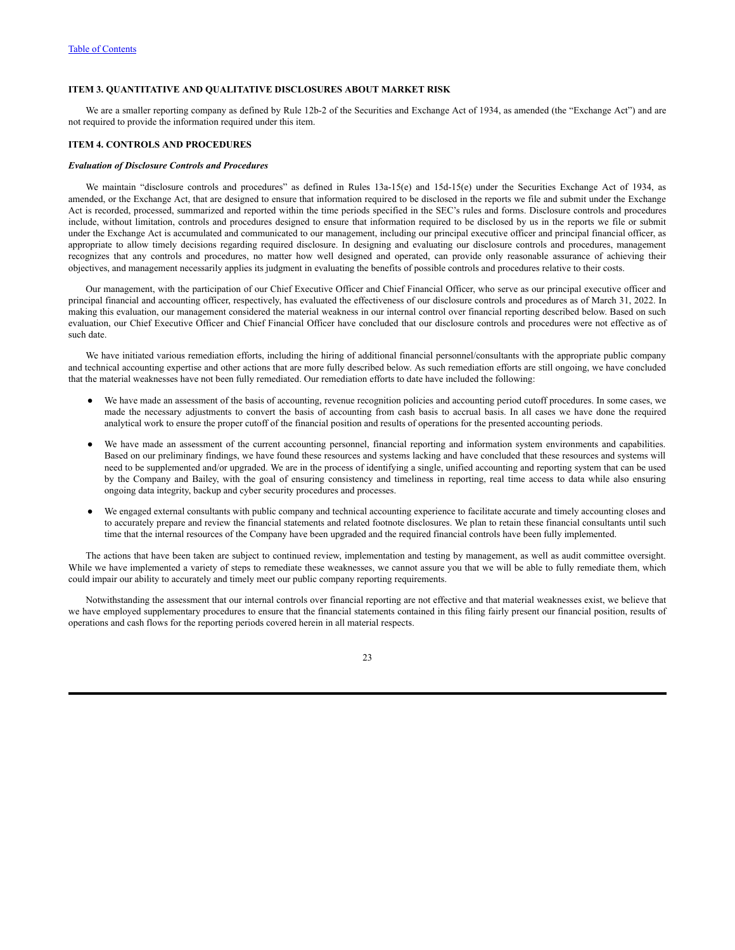# <span id="page-22-0"></span>**ITEM 3. QUANTITATIVE AND QUALITATIVE DISCLOSURES ABOUT MARKET RISK**

We are a smaller reporting company as defined by Rule 12b-2 of the Securities and Exchange Act of 1934, as amended (the "Exchange Act") and are not required to provide the information required under this item.

### <span id="page-22-1"></span>**ITEM 4. CONTROLS AND PROCEDURES**

#### *Evaluation of Disclosure Controls and Procedures*

We maintain "disclosure controls and procedures" as defined in Rules 13a-15(e) and 15d-15(e) under the Securities Exchange Act of 1934, as amended, or the Exchange Act, that are designed to ensure that information required to be disclosed in the reports we file and submit under the Exchange Act is recorded, processed, summarized and reported within the time periods specified in the SEC's rules and forms. Disclosure controls and procedures include, without limitation, controls and procedures designed to ensure that information required to be disclosed by us in the reports we file or submit under the Exchange Act is accumulated and communicated to our management, including our principal executive officer and principal financial officer, as appropriate to allow timely decisions regarding required disclosure. In designing and evaluating our disclosure controls and procedures, management recognizes that any controls and procedures, no matter how well designed and operated, can provide only reasonable assurance of achieving their objectives, and management necessarily applies its judgment in evaluating the benefits of possible controls and procedures relative to their costs.

Our management, with the participation of our Chief Executive Officer and Chief Financial Officer, who serve as our principal executive officer and principal financial and accounting officer, respectively, has evaluated the effectiveness of our disclosure controls and procedures as of March 31, 2022. In making this evaluation, our management considered the material weakness in our internal control over financial reporting described below. Based on such evaluation, our Chief Executive Officer and Chief Financial Officer have concluded that our disclosure controls and procedures were not effective as of such date.

We have initiated various remediation efforts, including the hiring of additional financial personnel/consultants with the appropriate public company and technical accounting expertise and other actions that are more fully described below. As such remediation efforts are still ongoing, we have concluded that the material weaknesses have not been fully remediated. Our remediation efforts to date have included the following:

- We have made an assessment of the basis of accounting, revenue recognition policies and accounting period cutoff procedures. In some cases, we made the necessary adjustments to convert the basis of accounting from cash basis to accrual basis. In all cases we have done the required analytical work to ensure the proper cutoff of the financial position and results of operations for the presented accounting periods.
- We have made an assessment of the current accounting personnel, financial reporting and information system environments and capabilities. Based on our preliminary findings, we have found these resources and systems lacking and have concluded that these resources and systems will need to be supplemented and/or upgraded. We are in the process of identifying a single, unified accounting and reporting system that can be used by the Company and Bailey, with the goal of ensuring consistency and timeliness in reporting, real time access to data while also ensuring ongoing data integrity, backup and cyber security procedures and processes.
- We engaged external consultants with public company and technical accounting experience to facilitate accurate and timely accounting closes and to accurately prepare and review the financial statements and related footnote disclosures. We plan to retain these financial consultants until such time that the internal resources of the Company have been upgraded and the required financial controls have been fully implemented.

The actions that have been taken are subject to continued review, implementation and testing by management, as well as audit committee oversight. While we have implemented a variety of steps to remediate these weaknesses, we cannot assure you that we will be able to fully remediate them, which could impair our ability to accurately and timely meet our public company reporting requirements.

Notwithstanding the assessment that our internal controls over financial reporting are not effective and that material weaknesses exist, we believe that we have employed supplementary procedures to ensure that the financial statements contained in this filing fairly present our financial position, results of operations and cash flows for the reporting periods covered herein in all material respects.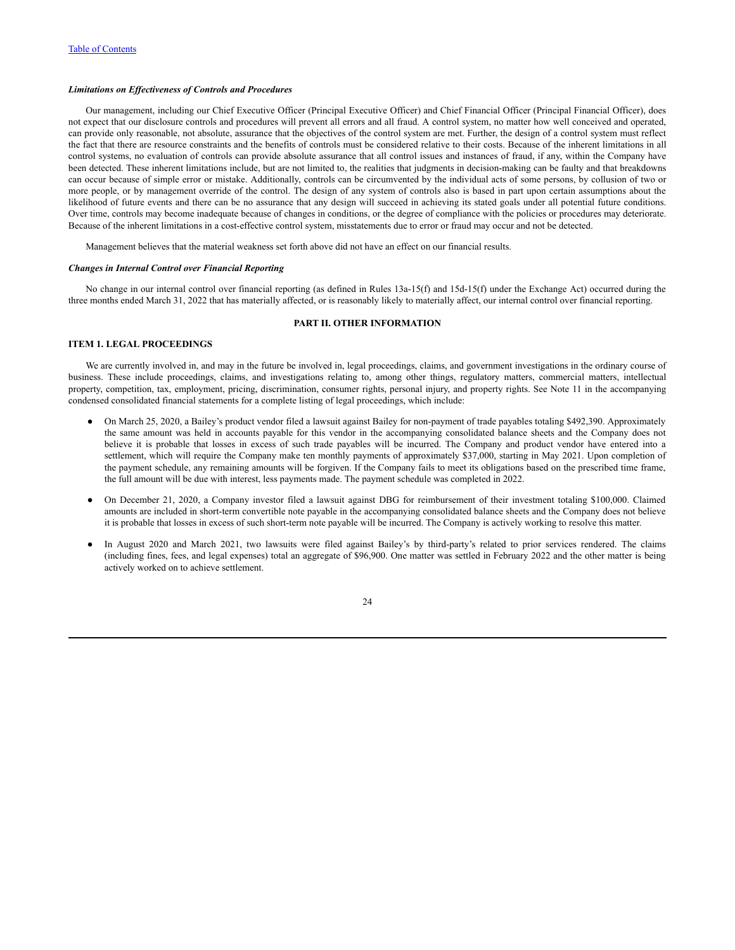# *Limitations on Ef ectiveness of Controls and Procedures*

Our management, including our Chief Executive Officer (Principal Executive Officer) and Chief Financial Officer (Principal Financial Officer), does not expect that our disclosure controls and procedures will prevent all errors and all fraud. A control system, no matter how well conceived and operated, can provide only reasonable, not absolute, assurance that the objectives of the control system are met. Further, the design of a control system must reflect the fact that there are resource constraints and the benefits of controls must be considered relative to their costs. Because of the inherent limitations in all control systems, no evaluation of controls can provide absolute assurance that all control issues and instances of fraud, if any, within the Company have been detected. These inherent limitations include, but are not limited to, the realities that judgments in decision-making can be faulty and that breakdowns can occur because of simple error or mistake. Additionally, controls can be circumvented by the individual acts of some persons, by collusion of two or more people, or by management override of the control. The design of any system of controls also is based in part upon certain assumptions about the likelihood of future events and there can be no assurance that any design will succeed in achieving its stated goals under all potential future conditions. Over time, controls may become inadequate because of changes in conditions, or the degree of compliance with the policies or procedures may deteriorate. Because of the inherent limitations in a cost-effective control system, misstatements due to error or fraud may occur and not be detected.

Management believes that the material weakness set forth above did not have an effect on our financial results.

#### *Changes in Internal Control over Financial Reporting*

No change in our internal control over financial reporting (as defined in Rules 13a-15(f) and 15d-15(f) under the Exchange Act) occurred during the three months ended March 31, 2022 that has materially affected, or is reasonably likely to materially affect, our internal control over financial reporting.

# **PART II. OTHER INFORMATION**

# <span id="page-23-1"></span><span id="page-23-0"></span>**ITEM 1. LEGAL PROCEEDINGS**

We are currently involved in, and may in the future be involved in, legal proceedings, claims, and government investigations in the ordinary course of business. These include proceedings, claims, and investigations relating to, among other things, regulatory matters, commercial matters, intellectual property, competition, tax, employment, pricing, discrimination, consumer rights, personal injury, and property rights. See Note 11 in the accompanying condensed consolidated financial statements for a complete listing of legal proceedings, which include:

- On March 25, 2020, a Bailey's product vendor filed a lawsuit against Bailey for non-payment of trade payables totaling \$492,390. Approximately the same amount was held in accounts payable for this vendor in the accompanying consolidated balance sheets and the Company does not believe it is probable that losses in excess of such trade payables will be incurred. The Company and product vendor have entered into a settlement, which will require the Company make ten monthly payments of approximately \$37,000, starting in May 2021. Upon completion of the payment schedule, any remaining amounts will be forgiven. If the Company fails to meet its obligations based on the prescribed time frame, the full amount will be due with interest, less payments made. The payment schedule was completed in 2022.
- On December 21, 2020, a Company investor filed a lawsuit against DBG for reimbursement of their investment totaling \$100,000. Claimed amounts are included in short-term convertible note payable in the accompanying consolidated balance sheets and the Company does not believe it is probable that losses in excess of such short-term note payable will be incurred. The Company is actively working to resolve this matter.
- In August 2020 and March 2021, two lawsuits were filed against Bailey's by third-party's related to prior services rendered. The claims (including fines, fees, and legal expenses) total an aggregate of \$96,900. One matter was settled in February 2022 and the other matter is being actively worked on to achieve settlement.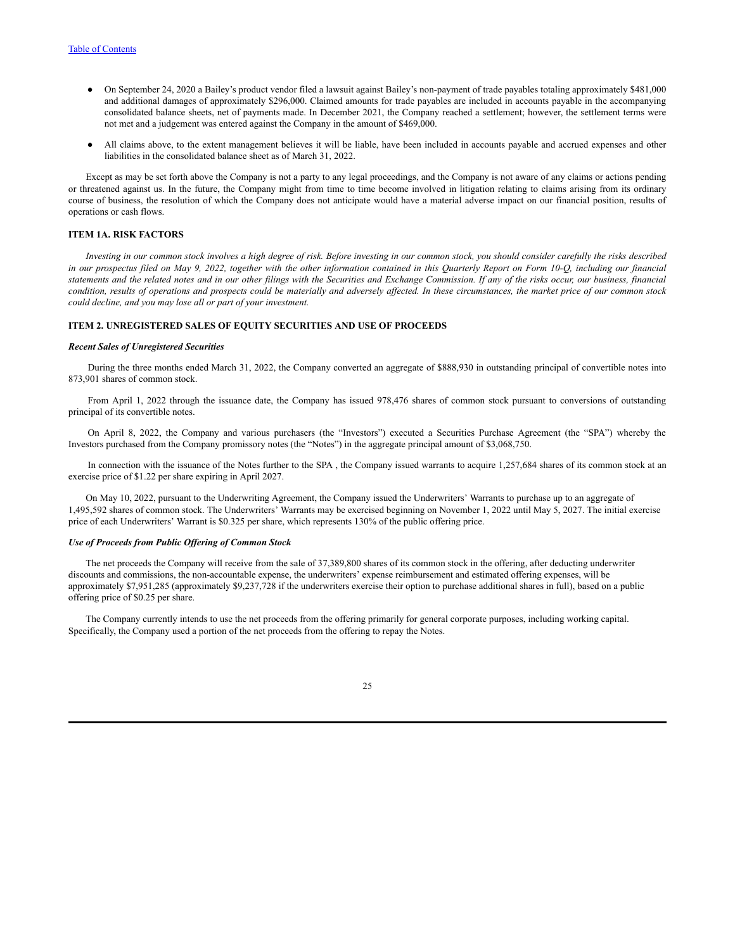- On September 24, 2020 a Bailey's product vendor filed a lawsuit against Bailey's non-payment of trade payables totaling approximately \$481,000 and additional damages of approximately \$296,000. Claimed amounts for trade payables are included in accounts payable in the accompanying consolidated balance sheets, net of payments made. In December 2021, the Company reached a settlement; however, the settlement terms were not met and a judgement was entered against the Company in the amount of \$469,000.
- All claims above, to the extent management believes it will be liable, have been included in accounts payable and accrued expenses and other liabilities in the consolidated balance sheet as of March 31, 2022.

Except as may be set forth above the Company is not a party to any legal proceedings, and the Company is not aware of any claims or actions pending or threatened against us. In the future, the Company might from time to time become involved in litigation relating to claims arising from its ordinary course of business, the resolution of which the Company does not anticipate would have a material adverse impact on our financial position, results of operations or cash flows.

## <span id="page-24-0"></span>**ITEM 1A. RISK FACTORS**

Investing in our common stock involves a high degree of risk. Before investing in our common stock, you should consider carefully the risks described in our prospectus filed on May 9, 2022, together with the other information contained in this Quarterly Report on Form 10-Q, including our financial statements and the related notes and in our other filings with the Securities and Exchange Commission. If any of the risks occur, our business, financial condition, results of operations and prospects could be materially and adversely affected. In these circumstances, the market price of our common stock *could decline, and you may lose all or part of your investment.*

# <span id="page-24-1"></span>**ITEM 2. UNREGISTERED SALES OF EQUITY SECURITIES AND USE OF PROCEEDS**

#### *Recent Sales of Unregistered Securities*

During the three months ended March 31, 2022, the Company converted an aggregate of \$888,930 in outstanding principal of convertible notes into 873,901 shares of common stock.

From April 1, 2022 through the issuance date, the Company has issued 978,476 shares of common stock pursuant to conversions of outstanding principal of its convertible notes.

On April 8, 2022, the Company and various purchasers (the "Investors") executed a Securities Purchase Agreement (the "SPA") whereby the Investors purchased from the Company promissory notes (the "Notes") in the aggregate principal amount of \$3,068,750.

In connection with the issuance of the Notes further to the SPA , the Company issued warrants to acquire 1,257,684 shares of its common stock at an exercise price of \$1.22 per share expiring in April 2027.

On May 10, 2022, pursuant to the Underwriting Agreement, the Company issued the Underwriters' Warrants to purchase up to an aggregate of 1,495,592 shares of common stock. The Underwriters' Warrants may be exercised beginning on November 1, 2022 until May 5, 2027. The initial exercise price of each Underwriters' Warrant is \$0.325 per share, which represents 130% of the public offering price.

## *Use of Proceeds from Public Of ering of Common Stock*

The net proceeds the Company will receive from the sale of 37,389,800 shares of its common stock in the offering, after deducting underwriter discounts and commissions, the non-accountable expense, the underwriters' expense reimbursement and estimated offering expenses, will be approximately \$7,951,285 (approximately \$9,237,728 if the underwriters exercise their option to purchase additional shares in full), based on a public offering price of \$0.25 per share.

The Company currently intends to use the net proceeds from the offering primarily for general corporate purposes, including working capital. Specifically, the Company used a portion of the net proceeds from the offering to repay the Notes.

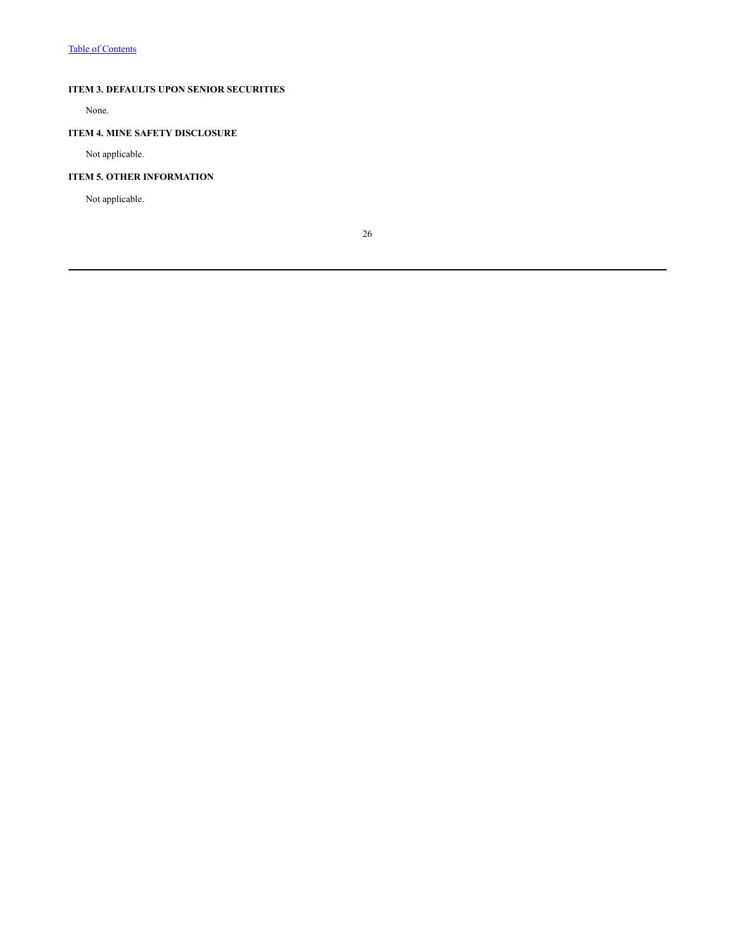# <span id="page-25-0"></span>**ITEM 3. DEFAULTS UPON SENIOR SECURITIES**

None.

# <span id="page-25-1"></span>**ITEM 4. MINE SAFETY DISCLOSURE**

Not applicable.

# <span id="page-25-2"></span>**ITEM 5. OTHER INFORMATION**

Not applicable.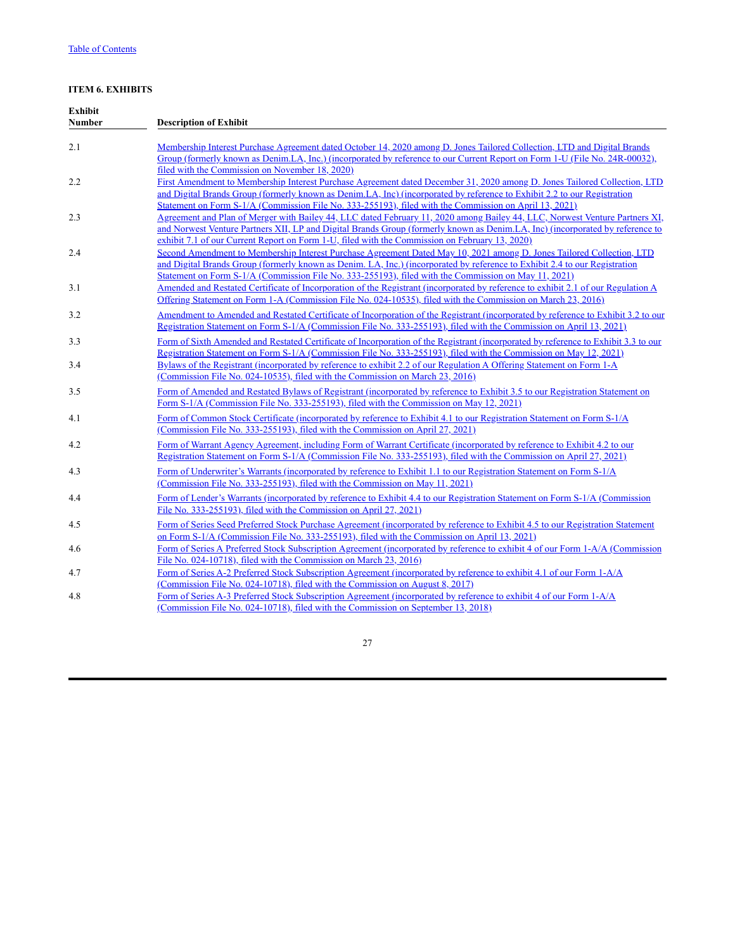# <span id="page-26-0"></span>**ITEM 6. EXHIBITS**

| Exhibit<br>Number | <b>Description of Exhibit</b>                                                                                                                                                                                                                                                                                                                                   |
|-------------------|-----------------------------------------------------------------------------------------------------------------------------------------------------------------------------------------------------------------------------------------------------------------------------------------------------------------------------------------------------------------|
| 2.1               | Membership Interest Purchase Agreement dated October 14, 2020 among D. Jones Tailored Collection, LTD and Digital Brands<br>Group (formerly known as Denim, LA, Inc.) (incorporated by reference to our Current Report on Form 1-U (File No. 24R-00032),<br>filed with the Commission on November 18, 2020)                                                     |
| 2.2               | First Amendment to Membership Interest Purchase Agreement dated December 31, 2020 among D. Jones Tailored Collection, LTD<br>and Digital Brands Group (formerly known as Denim LA, Inc) (incorporated by reference to Exhibit 2.2 to our Registration<br>Statement on Form S-1/A (Commission File No. 333-255193), filed with the Commission on April 13, 2021) |
| 2.3               | Agreement and Plan of Merger with Bailey 44, LLC dated February 11, 2020 among Bailey 44, LLC, Norwest Venture Partners XI,<br>and Norwest Venture Partners XII, LP and Digital Brands Group (formerly known as Denim.LA, Inc) (incorporated by reference to<br>exhibit 7.1 of our Current Report on Form 1-U, filed with the Commission on February 13, 2020)  |
| 2.4               | Second Amendment to Membership Interest Purchase Agreement Dated May 10, 2021 among D. Jones Tailored Collection, LTD<br>and Digital Brands Group (formerly known as Denim, LA, Inc.) (incorporated by reference to Exhibit 2.4 to our Registration<br>Statement on Form S-1/A (Commission File No. 333-255193), filed with the Commission on May 11, 2021)     |
| 3.1               | Amended and Restated Certificate of Incorporation of the Registrant (incorporated by reference to exhibit 2.1 of our Regulation A<br>Offering Statement on Form 1-A (Commission File No. 024-10535), filed with the Commission on March 23, 2016)                                                                                                               |
| 3.2               | Amendment to Amended and Restated Certificate of Incorporation of the Registrant (incorporated by reference to Exhibit 3.2 to our<br>Registration Statement on Form S-1/A (Commission File No. 333-255193), filed with the Commission on April 13, 2021)                                                                                                        |
| 3.3               | Form of Sixth Amended and Restated Certificate of Incorporation of the Registrant (incorporated by reference to Exhibit 3.3 to our<br>Registration Statement on Form S-1/A (Commission File No. 333-255193), filed with the Commission on May 12, 2021)                                                                                                         |
| 3.4               | Bylaws of the Registrant (incorporated by reference to exhibit 2.2 of our Regulation A Offering Statement on Form 1-A<br>(Commission File No. 024-10535), filed with the Commission on March 23, 2016)                                                                                                                                                          |
| 3.5               | Form of Amended and Restated Bylaws of Registrant (incorporated by reference to Exhibit 3.5 to our Registration Statement on<br>Form S-1/A (Commission File No. 333-255193), filed with the Commission on May 12, 2021)                                                                                                                                         |
| 4.1               | Form of Common Stock Certificate (incorporated by reference to Exhibit 4.1 to our Registration Statement on Form S-1/A<br>(Commission File No. 333-255193), filed with the Commission on April 27, 2021)                                                                                                                                                        |
| 4.2               | Form of Warrant Agency Agreement, including Form of Warrant Certificate (incorporated by reference to Exhibit 4.2 to our<br>Registration Statement on Form S-1/A (Commission File No. 333-255193), filed with the Commission on April 27, 2021)                                                                                                                 |
| 4.3               | Form of Underwriter's Warrants (incorporated by reference to Exhibit 1.1 to our Registration Statement on Form S-1/A<br>(Commission File No. 333-255193), filed with the Commission on May 11, 2021)                                                                                                                                                            |
| 4.4               | Form of Lender's Warrants (incorporated by reference to Exhibit 4.4 to our Registration Statement on Form S-1/A (Commission<br>File No. 333-255193), filed with the Commission on April 27, 2021)                                                                                                                                                               |
| 4.5               | Form of Series Seed Preferred Stock Purchase Agreement (incorporated by reference to Exhibit 4.5 to our Registration Statement<br>on Form S-1/A (Commission File No. 333-255193), filed with the Commission on April 13, 2021)                                                                                                                                  |
| 4.6               | Form of Series A Preferred Stock Subscription Agreement (incorporated by reference to exhibit 4 of our Form 1-A/A (Commission<br>File No. 024-10718), filed with the Commission on March 23, 2016)                                                                                                                                                              |
| 4.7               | Form of Series A-2 Preferred Stock Subscription Agreement (incorporated by reference to exhibit 4.1 of our Form 1-A/A<br>(Commission File No. 024-10718), filed with the Commission on August 8, 2017)                                                                                                                                                          |
| 4.8               | Form of Series A-3 Preferred Stock Subscription Agreement (incorporated by reference to exhibit 4 of our Form 1-A/A<br>(Commission File No. 024-10718), filed with the Commission on September 13, 2018)                                                                                                                                                        |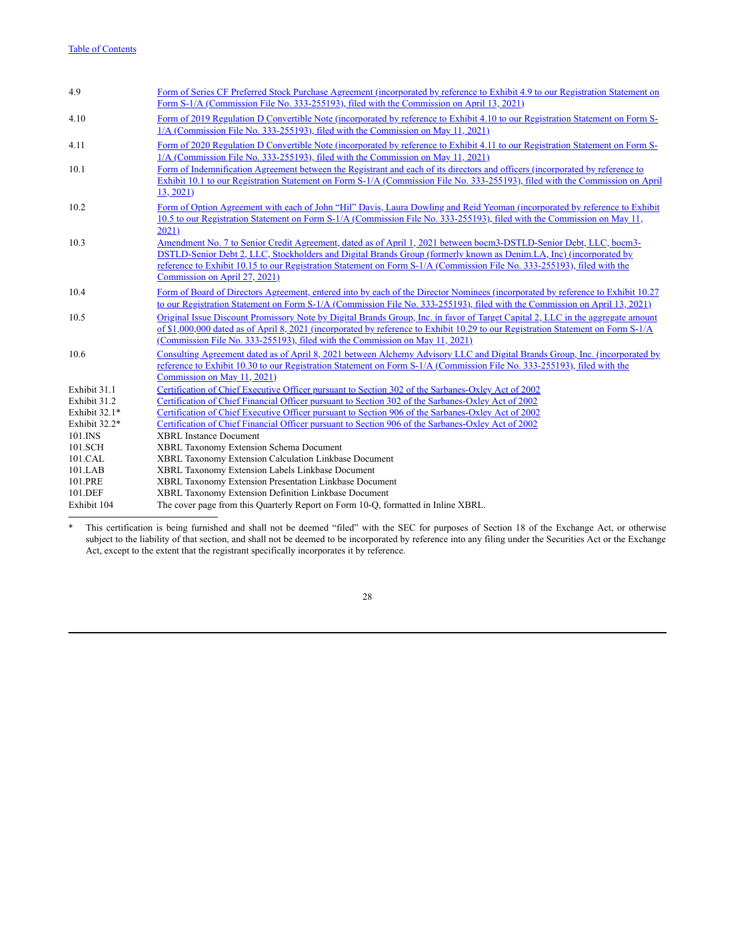| 4.9           | Form of Series CF Preferred Stock Purchase Agreement (incorporated by reference to Exhibit 4.9 to our Registration Statement on<br>Form S-1/A (Commission File No. 333-255193), filed with the Commission on April 13, 2021)                                                                                                                                                                         |
|---------------|------------------------------------------------------------------------------------------------------------------------------------------------------------------------------------------------------------------------------------------------------------------------------------------------------------------------------------------------------------------------------------------------------|
| 4.10          | Form of 2019 Regulation D Convertible Note (incorporated by reference to Exhibit 4.10 to our Registration Statement on Form S-<br>$1/A$ (Commission File No. 333-255193), filed with the Commission on May 11, 2021)                                                                                                                                                                                 |
| 4.11          | Form of 2020 Regulation D Convertible Note (incorporated by reference to Exhibit 4.11 to our Registration Statement on Form S-<br>1/A (Commission File No. 333-255193), filed with the Commission on May 11, 2021)                                                                                                                                                                                   |
| 10.1          | Form of Indemnification Agreement between the Registrant and each of its directors and officers (incorporated by reference to<br>Exhibit 10.1 to our Registration Statement on Form S-1/A (Commission File No. 333-255193), filed with the Commission on April<br>13, 2021                                                                                                                           |
| 10.2          | Form of Option Agreement with each of John "Hil" Davis, Laura Dowling and Reid Yeoman (incorporated by reference to Exhibit<br>10.5 to our Registration Statement on Form S-1/A (Commission File No. 333-255193), filed with the Commission on May 11,<br>2021)                                                                                                                                      |
| 10.3          | Amendment No. 7 to Senior Credit Agreement, dated as of April 1, 2021 between bocm3-DSTLD-Senior Debt, LLC, bocm3-<br>DSTLD-Senior Debt 2, LLC, Stockholders and Digital Brands Group (formerly known as Denim.LA, Inc) (incorporated by<br>reference to Exhibit 10.15 to our Registration Statement on Form S-1/A (Commission File No. 333-255193), filed with the<br>Commission on April 27, 2021) |
| 10.4          | Form of Board of Directors Agreement, entered into by each of the Director Nominees (incorporated by reference to Exhibit 10.27<br>to our Registration Statement on Form S-1/A (Commission File No. 333-255193), filed with the Commission on April 13, 2021)                                                                                                                                        |
| 10.5          | Original Issue Discount Promissory Note by Digital Brands Group, Inc. in favor of Target Capital 2, LLC in the aggregate amount<br>of \$1,000,000 dated as of April 8, 2021 (incorporated by reference to Exhibit 10.29 to our Registration Statement on Form S-1/A<br>(Commission File No. 333-255193), filed with the Commission on May 11, 2021)                                                  |
| 10.6          | Consulting Agreement dated as of April 8, 2021 between Alchemy Advisory LLC and Digital Brands Group, Inc. (incorporated by<br>reference to Exhibit 10.30 to our Registration Statement on Form S-1/A (Commission File No. 333-255193), filed with the<br>Commission on May 11, 2021)                                                                                                                |
| Exhibit 31.1  | Certification of Chief Executive Officer pursuant to Section 302 of the Sarbanes-Oxley Act of 2002                                                                                                                                                                                                                                                                                                   |
| Exhibit 31.2  | Certification of Chief Financial Officer pursuant to Section 302 of the Sarbanes-Oxley Act of 2002                                                                                                                                                                                                                                                                                                   |
| Exhibit 32.1* | Certification of Chief Executive Officer pursuant to Section 906 of the Sarbanes-Oxley Act of 2002                                                                                                                                                                                                                                                                                                   |
| Exhibit 32.2* | Certification of Chief Financial Officer pursuant to Section 906 of the Sarbanes-Oxley Act of 2002                                                                                                                                                                                                                                                                                                   |
| 101.INS       | <b>XBRL</b> Instance Document                                                                                                                                                                                                                                                                                                                                                                        |
| 101.SCH       | XBRL Taxonomy Extension Schema Document                                                                                                                                                                                                                                                                                                                                                              |
| 101.CAL       | XBRL Taxonomy Extension Calculation Linkbase Document                                                                                                                                                                                                                                                                                                                                                |
| 101.LAB       | XBRL Taxonomy Extension Labels Linkbase Document                                                                                                                                                                                                                                                                                                                                                     |
| 101.PRE       | XBRL Taxonomy Extension Presentation Linkbase Document                                                                                                                                                                                                                                                                                                                                               |
| 101.DEF       | XBRL Taxonomy Extension Definition Linkbase Document                                                                                                                                                                                                                                                                                                                                                 |
| Exhibit 104   | The cover page from this Quarterly Report on Form 10-Q, formatted in Inline XBRL.                                                                                                                                                                                                                                                                                                                    |

\* This certification is being furnished and shall not be deemed "filed" with the SEC for purposes of Section 18 of the Exchange Act, or otherwise subject to the liability of that section, and shall not be deemed to be incorporated by reference into any filing under the Securities Act or the Exchange Act, except to the extent that the registrant specifically incorporates it by reference.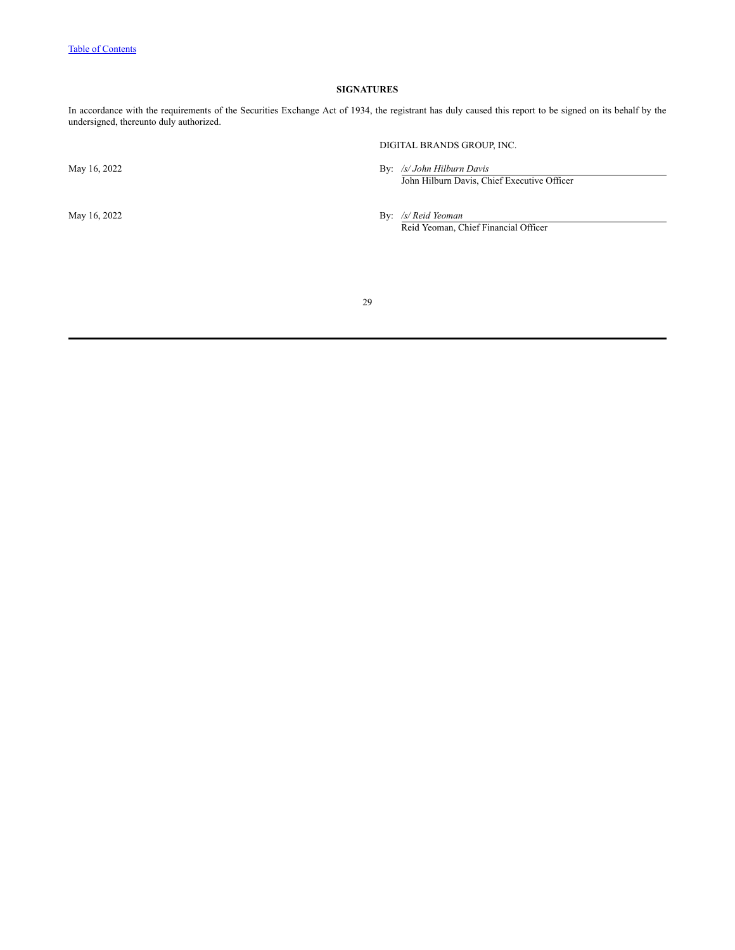# **SIGNATURES**

<span id="page-28-0"></span>In accordance with the requirements of the Securities Exchange Act of 1934, the registrant has duly caused this report to be signed on its behalf by the undersigned, thereunto duly authorized.

DIGITAL BRANDS GROUP, INC.

May 16, 2022 By: */s/ John Hilburn Davis* John Hilburn Davis, Chief Executive Officer

May 16, 2022 By: */s/ Reid Yeoman* Reid Yeoman, Chief Financial Officer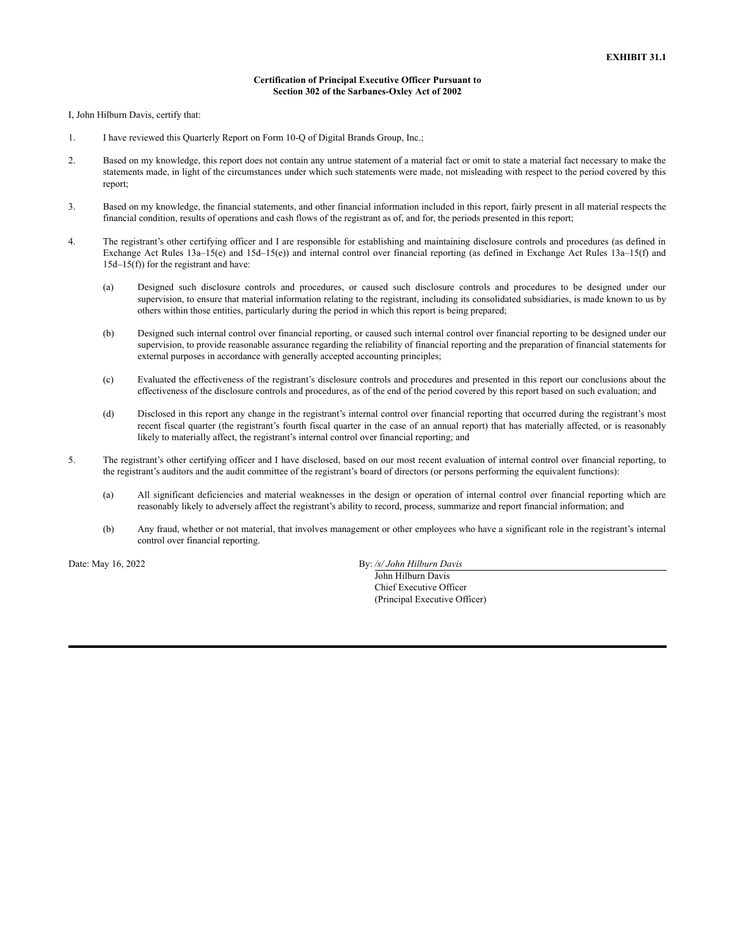### **Certification of Principal Executive Officer Pursuant to Section 302 of the Sarbanes-Oxley Act of 2002**

I, John Hilburn Davis, certify that:

- 1. I have reviewed this Quarterly Report on Form 10-Q of Digital Brands Group, Inc.;
- 2. Based on my knowledge, this report does not contain any untrue statement of a material fact or omit to state a material fact necessary to make the statements made, in light of the circumstances under which such statements were made, not misleading with respect to the period covered by this report;
- 3. Based on my knowledge, the financial statements, and other financial information included in this report, fairly present in all material respects the financial condition, results of operations and cash flows of the registrant as of, and for, the periods presented in this report;
- 4. The registrant's other certifying officer and I are responsible for establishing and maintaining disclosure controls and procedures (as defined in Exchange Act Rules 13a–15(e) and 15d–15(e)) and internal control over financial reporting (as defined in Exchange Act Rules 13a–15(f) and 15d–15(f)) for the registrant and have:
	- (a) Designed such disclosure controls and procedures, or caused such disclosure controls and procedures to be designed under our supervision, to ensure that material information relating to the registrant, including its consolidated subsidiaries, is made known to us by others within those entities, particularly during the period in which this report is being prepared;
	- (b) Designed such internal control over financial reporting, or caused such internal control over financial reporting to be designed under our supervision, to provide reasonable assurance regarding the reliability of financial reporting and the preparation of financial statements for external purposes in accordance with generally accepted accounting principles;
	- (c) Evaluated the effectiveness of the registrant's disclosure controls and procedures and presented in this report our conclusions about the effectiveness of the disclosure controls and procedures, as of the end of the period covered by this report based on such evaluation; and
	- (d) Disclosed in this report any change in the registrant's internal control over financial reporting that occurred during the registrant's most recent fiscal quarter (the registrant's fourth fiscal quarter in the case of an annual report) that has materially affected, or is reasonably likely to materially affect, the registrant's internal control over financial reporting; and
- 5. The registrant's other certifying officer and I have disclosed, based on our most recent evaluation of internal control over financial reporting, to the registrant's auditors and the audit committee of the registrant's board of directors (or persons performing the equivalent functions):
	- (a) All significant deficiencies and material weaknesses in the design or operation of internal control over financial reporting which are reasonably likely to adversely affect the registrant's ability to record, process, summarize and report financial information; and
	- (b) Any fraud, whether or not material, that involves management or other employees who have a significant role in the registrant's internal control over financial reporting.

Date: May 16, 2022 By: */s/ John Hilburn Davis*

John Hilburn Davis Chief Executive Officer (Principal Executive Officer)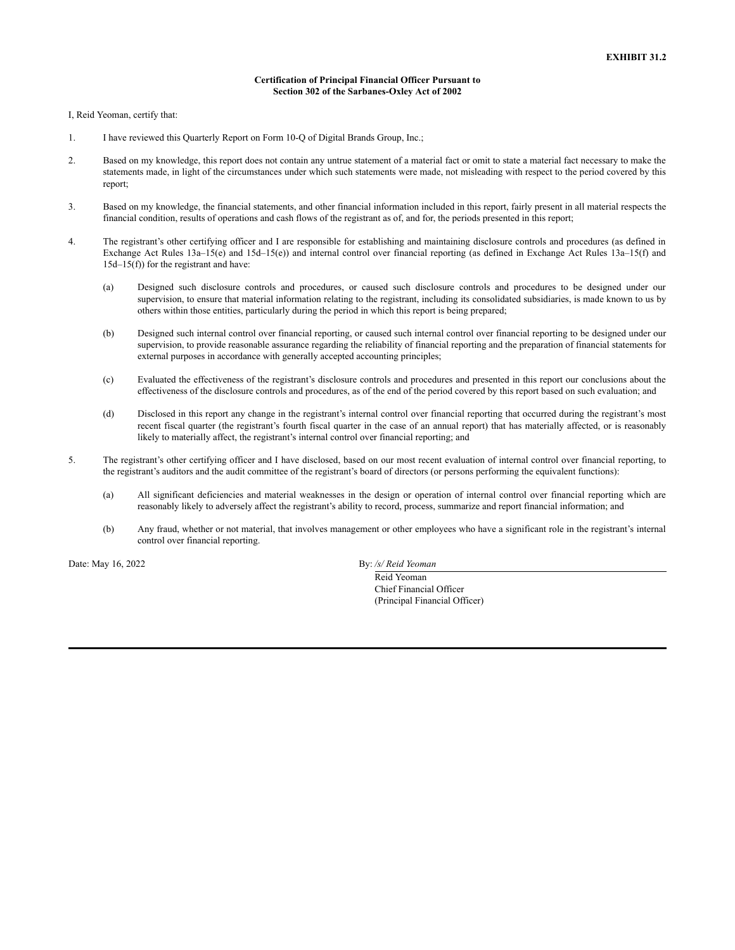### **Certification of Principal Financial Officer Pursuant to Section 302 of the Sarbanes-Oxley Act of 2002**

I, Reid Yeoman, certify that:

- 1. I have reviewed this Quarterly Report on Form 10-Q of Digital Brands Group, Inc.;
- 2. Based on my knowledge, this report does not contain any untrue statement of a material fact or omit to state a material fact necessary to make the statements made, in light of the circumstances under which such statements were made, not misleading with respect to the period covered by this report;
- 3. Based on my knowledge, the financial statements, and other financial information included in this report, fairly present in all material respects the financial condition, results of operations and cash flows of the registrant as of, and for, the periods presented in this report;
- 4. The registrant's other certifying officer and I are responsible for establishing and maintaining disclosure controls and procedures (as defined in Exchange Act Rules 13a–15(e) and 15d–15(e)) and internal control over financial reporting (as defined in Exchange Act Rules 13a–15(f) and 15d–15(f)) for the registrant and have:
	- (a) Designed such disclosure controls and procedures, or caused such disclosure controls and procedures to be designed under our supervision, to ensure that material information relating to the registrant, including its consolidated subsidiaries, is made known to us by others within those entities, particularly during the period in which this report is being prepared;
	- (b) Designed such internal control over financial reporting, or caused such internal control over financial reporting to be designed under our supervision, to provide reasonable assurance regarding the reliability of financial reporting and the preparation of financial statements for external purposes in accordance with generally accepted accounting principles;
	- (c) Evaluated the effectiveness of the registrant's disclosure controls and procedures and presented in this report our conclusions about the effectiveness of the disclosure controls and procedures, as of the end of the period covered by this report based on such evaluation; and
	- (d) Disclosed in this report any change in the registrant's internal control over financial reporting that occurred during the registrant's most recent fiscal quarter (the registrant's fourth fiscal quarter in the case of an annual report) that has materially affected, or is reasonably likely to materially affect, the registrant's internal control over financial reporting; and
- 5. The registrant's other certifying officer and I have disclosed, based on our most recent evaluation of internal control over financial reporting, to the registrant's auditors and the audit committee of the registrant's board of directors (or persons performing the equivalent functions):
	- (a) All significant deficiencies and material weaknesses in the design or operation of internal control over financial reporting which are reasonably likely to adversely affect the registrant's ability to record, process, summarize and report financial information; and
	- (b) Any fraud, whether or not material, that involves management or other employees who have a significant role in the registrant's internal control over financial reporting.

Date: May 16, 2022 By: */s/ Reid Yeoman*

Reid Yeoman Chief Financial Officer (Principal Financial Officer)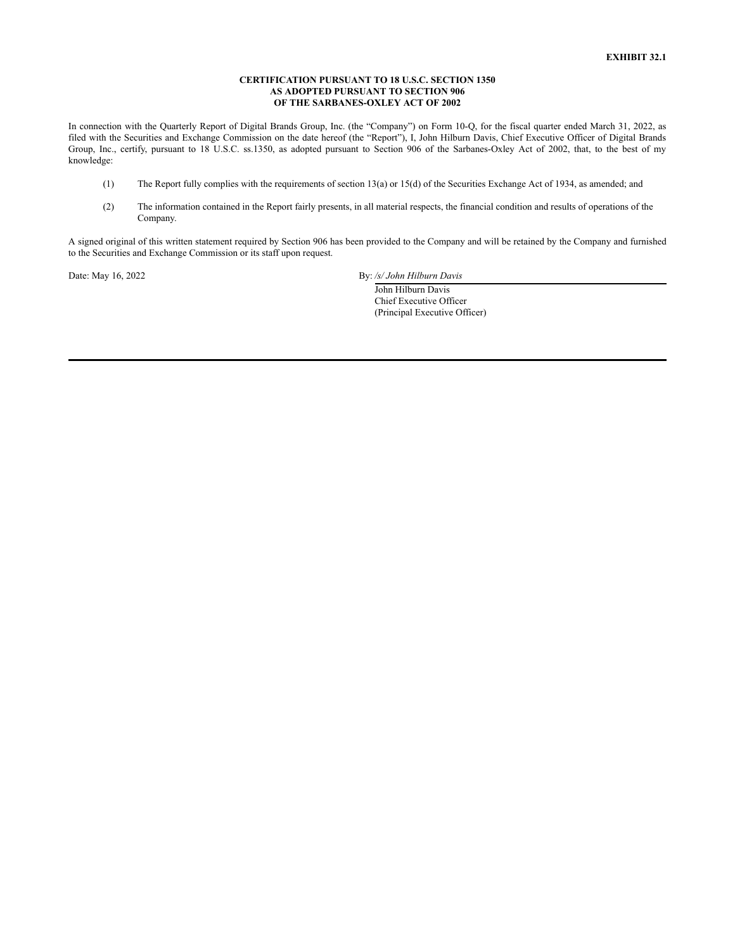# **CERTIFICATION PURSUANT TO 18 U.S.C. SECTION 1350 AS ADOPTED PURSUANT TO SECTION 906 OF THE SARBANES-OXLEY ACT OF 2002**

In connection with the Quarterly Report of Digital Brands Group, Inc. (the "Company") on Form 10-Q, for the fiscal quarter ended March 31, 2022, as filed with the Securities and Exchange Commission on the date hereof (the "Report"), I, John Hilburn Davis, Chief Executive Officer of Digital Brands Group, Inc., certify, pursuant to 18 U.S.C. ss.1350, as adopted pursuant to Section 906 of the Sarbanes-Oxley Act of 2002, that, to the best of my knowledge:

- (1) The Report fully complies with the requirements of section 13(a) or 15(d) of the Securities Exchange Act of 1934, as amended; and
- (2) The information contained in the Report fairly presents, in all material respects, the financial condition and results of operations of the Company.

A signed original of this written statement required by Section 906 has been provided to the Company and will be retained by the Company and furnished to the Securities and Exchange Commission or its staff upon request.

Date: May 16, 2022 By: */s/ John Hilburn Davis*

John Hilburn Davis Chief Executive Officer (Principal Executive Officer)